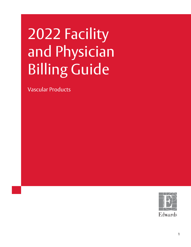# 2022 Facility and Physician Billing Guide

Vascular Products

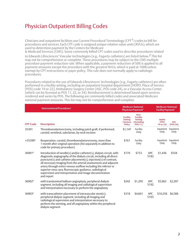#### Physician Outpatient Billing Codes

Clinicians and outpatient facilities use Current Procedural Terminology (CPT<sup>1</sup>) codes to bill for procedures and services. Each CPT code is assigned unique relative value units (RVUs), which are used to determine payment by the Centers for Medicare

& Medicaid Services (CMS). Some commonly billed CPT codes used to describe procedures related to Edwards Lifesciences' Vascular technologies (e.g., Fogarty catheters) are listed below.<sup>2</sup> This list may not be comprehensive or complete. These procedures may be subject to the CMS multiple procedure payment reduction rule. When applicable, a payment reduction of 50% is applied to all payment amounts except the procedure with the greatest RVUs, which is paid at 100% unless exempt by CPT instructions or payer policy. This rule does not normally apply to radiologic procedures.

Procedures related to the use of Edwards Lifesciences' technologies (e.g., Fogarty catheters) are often performed in a facility setting, including an outpatient hospital department (HOPD, Place of Service (POS) code 19 or 22), Ambulatory Surgery Center (ASC, POS code 24), or a Vascular Access Center (which can be licensed as POS 11, 22, or 24). Reimbursement is determined based upon services rendered and varies by POS. The following are commonly billed codes and associated Medicare national payment amounts. This list may not be comprehensive and complete.

|                    | Interventional Procedures <sup>3</sup>                                                                                                                                                                                                                                                                                                                                                                                                                                                    |                                                               | <b>Medicare National</b><br>Physician Payment <sup>4</sup>                |                    | <b>Medicare National</b><br><b>Facility Payment<sup>4</sup></b> |                             |
|--------------------|-------------------------------------------------------------------------------------------------------------------------------------------------------------------------------------------------------------------------------------------------------------------------------------------------------------------------------------------------------------------------------------------------------------------------------------------------------------------------------------------|---------------------------------------------------------------|---------------------------------------------------------------------------|--------------------|-----------------------------------------------------------------|-----------------------------|
| <b>CPT Code</b>    | <b>Description</b>                                                                                                                                                                                                                                                                                                                                                                                                                                                                        | <b>Facility</b><br><b>Setting</b><br><b>(Various</b><br>POSs) | Non-<br><b>Facility</b><br><b>Setting</b><br>(Including<br><b>POS 11)</b> |                    | <b>HOPD</b><br>(POS<br>19 or 22)                                | <b>ASC</b><br>(POS 24)      |
| 35301              | Thromboendarterectomy, including patch graft, if performed;<br>carotid, vertebral, subclavian, by neck incision                                                                                                                                                                                                                                                                                                                                                                           | \$1,147                                                       | Facility<br>Only                                                          |                    | Inpatient<br>Only                                               | Inpatient<br>Only           |
| $+35390^5$         | Reoperation, carotid, thromboendarterectomy, more than<br>1 month after original operation (list separately in addition to<br>code for primary procedure)                                                                                                                                                                                                                                                                                                                                 | \$161                                                         | Facility<br>Only                                                          |                    | Only                                                            | Inpatient Inpatient<br>Only |
| 369016             | Introduction of needle(s) and/or catheter(s), dialysis circuit, with<br>diagnostic angiography of the dialysis circuit, including all direct<br>puncture(s) and catheter placement(s), injection(s) of contrast,<br>all necessary imaging from the arterial anastomosis and adjacent<br>artery through entire venous outflow including the inferior or<br>superior vena cava, fluoroscopic guidance, radiological<br>supervision and interpretation and image documentation<br>and report | \$170                                                         | \$753                                                                     | APC<br>5182        | \$1,436                                                         | \$558                       |
| 36902 <sup>6</sup> | with transluminal balloon angioplasty, peripheral dialysis<br>segment, including all imaging and radiological supervision<br>and interpretation necessary to perform the angioplasty                                                                                                                                                                                                                                                                                                      | \$242                                                         | \$1,295                                                                   | APC<br>5192        | \$5,062                                                         | \$2,207                     |
| 369036             | with transcatheter placement of intravascular stent(s),<br>peripheral dialysis segment, including all imaging and<br>radiological supervision and interpretation necessary to<br>perform the stenting, and all angioplasty within the peripheral<br>dialysis segment                                                                                                                                                                                                                      | \$318                                                         | \$4,661                                                                   | <b>APC</b><br>5193 | \$10,258                                                        | \$6,588                     |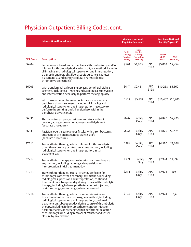#### Physician Outpatient Billing Codes, cont.

|                 | Interventional Procedures <sup>3</sup>                                                                                                                                                                                                                                                                                                                                                                                                                |                                                        | <b>Medicare National</b><br>Physician Payment <sup>4</sup>                |                    | <b>Medicare National</b>         | <b>Facility Payment<sup>4</sup></b> |
|-----------------|-------------------------------------------------------------------------------------------------------------------------------------------------------------------------------------------------------------------------------------------------------------------------------------------------------------------------------------------------------------------------------------------------------------------------------------------------------|--------------------------------------------------------|---------------------------------------------------------------------------|--------------------|----------------------------------|-------------------------------------|
| <b>CPT Code</b> | <b>Description</b>                                                                                                                                                                                                                                                                                                                                                                                                                                    | <b>Facility</b><br><b>Setting</b><br>(Various<br>POSs) | Non-<br><b>Facility</b><br><b>Setting</b><br>(Including<br><b>POS 11)</b> |                    | <b>HOPD</b><br>(POS<br>19 or 22) | <b>ASC</b><br>(POS 24)              |
| 369046          | Percutaneous transluminal mechanical thrombectomy and/or<br>infusion for thrombolysis, dialysis circuit, any method, including<br>all imaging and radiological supervision and interpretation,<br>diagnostic angiography, fluoroscopic guidance, catheter<br>placement(s), and intraprocedural pharmacological<br>thrombolytic injection(s)                                                                                                           | \$370                                                  | \$1,933                                                                   | <b>APC</b><br>5192 | \$5,062                          | \$2,954                             |
| 369056          | with transluminal balloon angioplasty, peripheral dialysis<br>segment, including all imaging and radiological supervision<br>and interpretation necessary to perform the angioplasty                                                                                                                                                                                                                                                                  | \$447                                                  | \$2,451                                                                   | <b>APC</b><br>5193 | \$10,258 \$5,669                 |                                     |
| 369066          | with transcatheter placement of intravascular stent(s),<br>peripheral dialysis segment, including all imaging and<br>radiological supervision and interpretation necessary to<br>perform the stenting, and all angioplasty within the<br>peripheral dialysis circuit                                                                                                                                                                                  | \$514                                                  | \$5,894                                                                   | <b>APC</b><br>5194 |                                  | \$16,402 \$10,900                   |
| 36831           | Thrombectomy, open, arteriovenous fistula without<br>revision, autogenous or nonautogenous dialysis graft<br>(separate procedure)                                                                                                                                                                                                                                                                                                                     | \$626                                                  | Facility<br>Only                                                          | <b>APC</b><br>5184 | \$4,870                          | \$2,425                             |
| 36833           | Revision, open, arteriovenous fistula; with thrombectomy,<br>autogenous or nonautogenous dialysis graft<br>(separate procedure)                                                                                                                                                                                                                                                                                                                       | \$822                                                  | Facility<br>Only                                                          | <b>APC</b><br>5184 | \$4,870                          | \$2,424                             |
| 372117          | Transcatheter therapy, arterial infusion for thrombolysis<br>other than coronary or intracranial, any method, including<br>radiological supervision and interpretation, initial<br>treatment day                                                                                                                                                                                                                                                      | \$389                                                  | Facility<br>Only                                                          | APC<br>5184        | \$4,870                          | \$3,166                             |
| 372127          | Transcatheter therapy, venous infusion for thrombolysis,<br>any method, including radiological supervision and<br>interpretation, initial treatment day                                                                                                                                                                                                                                                                                               | \$339                                                  | Facility<br>Only                                                          | <b>APC</b><br>5183 | \$2,924                          | \$1,899                             |
| 372137          | Transcatheter therapy, arterial or venous infusion for<br>thrombolysis other than coronary, any method, including<br>radiological supervision and interpretation, continued<br>treatment on subsequent day during course of thrombolytic<br>therapy, including follow-up catheter contrast injection,<br>position change, or exchange, when performed                                                                                                 | \$234                                                  | Facility<br>Only                                                          | <b>APC</b><br>5183 | \$2,924                          | n/a                                 |
| 372147          | Transcatheter therapy, arterial or venous infusion for<br>thrombolysis other than coronary, any method, including<br>radiological supervision and interpretation, continued<br>treatment on subsequent day during course of thrombolytic<br>therapy, including follow-up catheter contrast injection,<br>position change, or exchange, when performed; cessation<br>of thrombolysis including removal of catheter and vessel<br>closure by any method | \$123                                                  | Facility<br>Only                                                          | <b>APC</b><br>5183 | \$2,924                          | n/a                                 |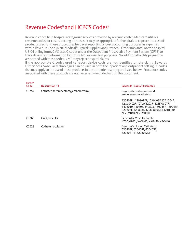#### Revenue Codes<sup>8</sup> and HCPCS Codes<sup>9</sup>

Revenue codes help hospitals categorize services provided by revenue center. Medicare utilizes revenue codes for cost reporting purposes. It may be appropriate for hospitals to capture the cost of products used for these procedures for payer reporting or cost accounting purposes as expenses within Revenue Code 0278 (Medical/Surgical Supplies and Devices – Other Implants) on the hospital UB-04 billing form. CMS uses C-codes under the Outpatient Prospective Payment System (OPPS) to track device cost information for future APC rate-setting purposes. No additional facility paymentis associated with these codes. CMS may reject hospital claims

if the appropriate C codes used to report device costs are not identified on the claim. Edwards Lifesciences' Vascular technologies can be used in both the inpatient and outpatient setting. C codes that may apply to the use of these products in the outpatient setting are listed below. Procedure codes associated with these products are not necessarily included within this document.

| <b>HCPCS</b><br>Code | <b>Description 11</b>              | <b>Edwards Product Examples</b>                                                                                                                                                        |
|----------------------|------------------------------------|----------------------------------------------------------------------------------------------------------------------------------------------------------------------------------------|
| C <sub>1757</sub>    | Catheter, thrombectomy/embolectomy | Fogarty thrombectomy and<br>embolectomy catheters:                                                                                                                                     |
|                      |                                    | 120403F-120807FP, 12A0403F-12A1004F,<br>12GV0402F.12TLW1203F-12TLW807F.<br>1408010, 140806, 140808, 160245F, 160246F,<br>320806F, 320808F, 32080810F, NL121RR30,<br>NL2EMB40-NL7EMB80T |
| C <sub>1768</sub>    | Graft. vascular                    | Pericardial Vascular Patch:<br>4700, 4700 , XAG400, XAG420, XAG440                                                                                                                     |
| C <sub>2628</sub>    | Catheter, occlusion                | <b>Fogarty Occlusion Catheters:</b><br>620403F, 620404F, 620405F,<br>62080814F.62080822F                                                                                               |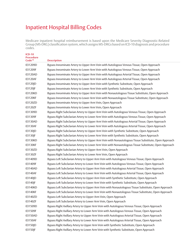Medicare inpatient hospital reimbursement is based upon the Medicare Severity Diagnostic-Related Group (MS-DRG) classification system, which assigns MS-DRGs based on ICD-10 diagnosis and procedure codes.

| <b>ICD-10</b><br><b>Procedure</b><br>Code <sup>14</sup> | <b>Description</b>                                                                                   |
|---------------------------------------------------------|------------------------------------------------------------------------------------------------------|
| 031209D                                                 | Bypass Innominate Artery to Upper Arm Vein with Autologous Venous Tissue, Open Approach              |
| 031209F                                                 | Bypass Innominate Artery to Lower Arm Vein with Autologous Venous Tissue, Open Approach              |
| 03120AD                                                 | Bypass Innominate Artery to Upper Arm Vein with Autologous Arterial Tissue, Open Approach            |
| 03120AF                                                 | Bypass Innominate Artery to Lower Arm Vein with Autologous Arterial Tissue, Open Approach            |
| 03120JD                                                 | Bypass Innominate Artery to Upper Arm Vein with Synthetic Substitute, Open Approach                  |
| 03120JF                                                 | Bypass Innominate Artery to Lower Arm Vein with Synthetic Substitute, Open Approach                  |
| 03120KD                                                 | Bypass Innominate Artery to Upper Arm Vein with Nonautologous Tissue Substitute, Open Approach       |
| 03120KF                                                 | Bypass Innominate Artery to Lower Arm Vein with Nonautologous Tissue Substitute, Open Approach       |
| 03120ZD                                                 | Bypass Innominate Artery to Upper Arm Vein, Open Approach                                            |
| 03120ZF                                                 | Bypass Innominate Artery to Lower Arm Vein, Open Approach                                            |
| 031309D                                                 | Bypass Right Subclavian Artery to Upper Arm Vein with Autologous Venous Tissue, Open Approach        |
| 031309F                                                 | Bypass Right Subclavian Artery to Lower Arm Vein with Autologous Venous Tissue, Open Approach        |
| 03130AD                                                 | Bypass Right Subclavian Artery to Upper Arm Vein with Autologous Arterial Tissue, Open Approach      |
| 03130AF                                                 | Bypass Right Subclavian Artery to Lower Arm Vein with Autologous Arterial Tissue, Open Approach      |
| 03130JD                                                 | Bypass Right Subclavian Artery to Upper Arm Vein with Synthetic Substitute, Open Approach            |
| 03130JF                                                 | Bypass Right Subclavian Artery to Lower Arm Vein with Synthetic Substitute, Open Approach            |
| 03130KD                                                 | Bypass Right Subclavian Artery to Upper Arm Vein with Nonautologous Tissue Substitute, Open Approach |
| 03130KF                                                 | Bypass Right Subclavian Artery to Lower Arm Vein with Nonautologous Tissue Substitute, Open Approach |
| 03130ZD                                                 | Bypass Right Subclavian Artery to Upper Arm Vein, Open Approach                                      |
| 03130ZF                                                 | Bypass Right Subclavian Artery to Lower Arm Vein, Open Approach                                      |
| 031409D                                                 | Bypass Left Subclavian Artery to Upper Arm Vein with Autologous Venous Tissue, Open Approach         |
| 031409F                                                 | Bypass Left Subclavian Artery to Lower Arm Vein with Autologous Venous Tissue, Open Approach         |
| 03140AD                                                 | Bypass Left Subclavian Artery to Upper Arm Vein with Autologous Arterial Tissue, Open Approach       |
| 03140AF                                                 | Bypass Left Subclavian Artery to Lower Arm Vein with Autologous Arterial Tissue, Open Approach       |
| 03140JD                                                 | Bypass Left Subclavian Artery to Upper Arm Vein with Synthetic Substitute, Open Approach             |
| 03140JF                                                 | Bypass Left Subclavian Artery to Lower Arm Vein with Synthetic Substitute, Open Approach             |
| 03140KD                                                 | Bypass Left Subclavian Artery to Upper Arm Vein with Nonautologous Tissue Substitute, Open Approach  |
| 03140KF                                                 | Bypass Left Subclavian Artery to Lower Arm Vein with Nonautologous Tissue Substitute, Open Approach  |
| 03140ZD                                                 | Bypass Left Subclavian Artery to Upper Arm Vein, Open Approach                                       |
| 03140ZF                                                 | Bypass Left Subclavian Artery to Lower Arm Vein, Open Approach                                       |
| 031509D                                                 | Bypass Right Axillary Artery to Upper Arm Vein with Autologous Venous Tissue, Open Approach          |
| 031509F                                                 | Bypass Right Axillary Artery to Lower Arm Vein with Autologous Venous Tissue, Open Approach          |
| 03150AD                                                 | Bypass Right Axillary Artery to Upper Arm Vein with Autologous Arterial Tissue, Open Approach        |
| 03150AF                                                 | Bypass Right Axillary Artery to Lower Arm Vein with Autologous Arterial Tissue, Open Approach        |
| 03150JD                                                 | Bypass Right Axillary Artery to Upper Arm Vein with Synthetic Substitute, Open Approach              |
| 03150JF                                                 | Bypass Right Axillary Artery to Lower Arm Vein with Synthetic Substitute, Open Approach              |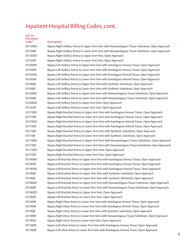| <b>ICD-10</b><br><b>Procedure</b><br>Code <sup>14</sup> | <b>Description</b>                                                                                 |
|---------------------------------------------------------|----------------------------------------------------------------------------------------------------|
| 03150KD                                                 | Bypass Right Axillary Artery to Upper Arm Vein with Nonautologous Tissue Substitute, Open Approach |
| 03150KF                                                 | Bypass Right Axillary Artery to Lower Arm Vein with Nonautologous Tissue Substitute, Open Approach |
| 03150ZD                                                 | Bypass Right Axillary Artery to Upper Arm Vein, Open Approach                                      |
| 03150ZF                                                 | Bypass Right Axillary Artery to Lower Arm Vein, Open Approach                                      |
| 031609D                                                 | Bypass Left Axillary Artery to Upper Arm Vein with Autologous Venous Tissue, Open Approach         |
| 031609F                                                 | Bypass Left Axillary Artery to Lower Arm Vein with Autologous Venous Tissue, Open Approach         |
| 03160AD                                                 | Bypass Left Axillary Artery to Upper Arm Vein with Autologous Arterial Tissue, Open Approach       |
| 03160AF                                                 | Bypass Left Axillary Artery to Lower Arm Vein with Autologous Arterial Tissue, Open Approach       |
| 03160JD                                                 | Bypass Left Axillary Artery to Upper Arm Vein with Synthetic Substitute, Open Approach             |
| 03160JF                                                 | Bypass Left Axillary Artery to Lower Arm Vein with Synthetic Substitute, Open Approach             |
| 03160KD                                                 | Bypass Left Axillary Artery to Upper Arm Vein with Nonautologous Tissue Substitute, Open Approach  |
| 03160KF                                                 | Bypass Left Axillary Artery to Lower Arm Vein with Nonautologous Tissue Substitute, Open Approach  |
| 03160ZD                                                 | Bypass Left Axillary Artery to Upper Arm Vein, Open Approach                                       |
| 03160ZF                                                 | Bypass Left Axillary Artery to Lower Arm Vein, Open Approach                                       |
| 031709D                                                 | Bypass Right Brachial Artery to Upper Arm Vein with Autologous Venous Tissue, Open Approach        |
| 031709F                                                 | Bypass Right Brachial Artery to Lower Arm Vein with Autologous Venous Tissue, Open Approach        |
| 03170AD                                                 | Bypass Right Brachial Artery to Upper Arm Vein with Autologous Arterial Tissue, Open Approach      |
| 03170AF                                                 | Bypass Right Brachial Artery to Lower Arm Vein with Autologous Arterial Tissue, Open Approach      |
| 03170JD                                                 | Bypass Right Brachial Artery to Upper Arm Vein with Synthetic Substitute, Open Approach            |
| 03170JF                                                 | Bypass Right Brachial Artery to Lower Arm Vein with Synthetic Substitute, Open Approach            |
| 03170KD                                                 | Bypass Right Brachial Artery to Upper Arm Vein with Nonautologous Tissue Substitute, Open Approach |
| 03170KF                                                 | Bypass Right Brachial Artery to Lower Arm Vein with Nonautologous Tissue Substitute, Open Approach |
| 03170ZD                                                 | Bypass Right Brachial Artery to Upper Arm Vein, Open Approach                                      |
| 03170ZF                                                 | Bypass Right Brachial Artery to Lower Arm Vein, Open Approach                                      |
| 031809D                                                 | Bypass Left Brachial Artery to Upper Arm Vein with Autologous Venous Tissue, Open Approach         |
| 031809F                                                 | Bypass Left Brachial Artery to Lower Arm Vein with Autologous Venous Tissue, Open Approach         |
| 03180AD                                                 | Bypass Left Brachial Artery to Upper Arm Vein with Autologous Arterial Tissue, Open Approach       |
| 03180JD                                                 | Bypass Left Brachial Artery to Upper Arm Vein with Synthetic Substitute, Open Approach             |
| 03180JF                                                 | Bypass Left Brachial Artery to Lower Arm Vein with Synthetic Substitute, Open Approach             |
| 03180KD                                                 | Bypass Left Brachial Artery to Upper Arm Vein with Nonautologous Tissue Substitute, Open Approach  |
| 03180KF                                                 | Bypass Left Brachial Artery to Lower Arm Vein with Nonautologous Tissue Substitute, Open Approach  |
| 03180ZD                                                 | Bypass Left Brachial Artery to Upper Arm Vein, Open Approach                                       |
| 03180ZF                                                 | Bypass Left Brachial Artery to Lower Arm Vein, Open Approach                                       |
| 031909F                                                 | Bypass Right Ulnar Artery to Lower Arm Vein with Autologous Venous Tissue, Open Approach           |
| 03190AF                                                 | Bypass Right Ulnar Artery to Lower Arm Vein with Autologous Arterial Tissue, Open Approach         |
| 03190JF                                                 | Bypass Right Ulnar Artery to Lower Arm Vein with Synthetic Substitute, Open Approach               |
| 03190KF                                                 | Bypass Right Ulnar Artery to Lower Arm Vein with Nonautologous Tissue Substitute, Open Approach    |
| 03190ZF                                                 | Bypass Right Ulnar Artery to Lower Arm Vein, Open Approach                                         |
| 031A09F                                                 | Bypass Left Ulnar Artery to Lower Arm Vein with Autologous Venous Tissue, Open Approach            |
| 031A0AF                                                 | Bypass Left Ulnar Artery to Lower Arm Vein with Autologous Arterial Tissue, Open Approach          |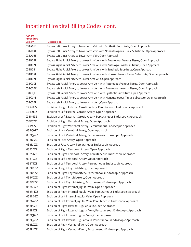| ___ | __ |
|-----|----|

| <b>Procedure</b><br>Code <sup>14</sup> | <b>Description</b>                                                                               |
|----------------------------------------|--------------------------------------------------------------------------------------------------|
| 031A0JF                                | Bypass Left Ulnar Artery to Lower Arm Vein with Synthetic Substitute, Open Approach              |
| 031A0KF                                | Bypass Left Ulnar Artery to Lower Arm Vein with Nonautologous Tissue Substitute, Open Approach   |
| 031A0ZF                                | Bypass Left Ulnar Artery to Lower Arm Vein, Open Approach                                        |
| 031B09F                                | Bypass Right Radial Artery to Lower Arm Vein with Autologous Venous Tissue, Open Approach        |
| 031B0AF                                | Bypass Right Radial Artery to Lower Arm Vein with Autologous Arterial Tissue, Open Approach      |
| 031B0JF                                | Bypass Right Radial Artery to Lower Arm Vein with Synthetic Substitute, Open Approach            |
| 031B0KF                                | Bypass Right Radial Artery to Lower Arm Vein with Nonautologous Tissue Substitute, Open Approach |
| 031B0ZF                                | Bypass Right Radial Artery to Lower Arm Vein, Open Approach                                      |
| 031C09F                                | Bypass Left Radial Artery to Lower Arm Vein with Autologous Venous Tissue, Open Approach         |
| 031C0AF                                | Bypass Left Radial Artery to Lower Arm Vein with Autologous Arterial Tissue, Open Approach       |
| 031C0JF                                | Bypass Left Radial Artery to Lower Arm Vein with Synthetic Substitute, Open Approach             |
| 031C0KF                                | Bypass Left Radial Artery to Lower Arm Vein with Nonautologous Tissue Substitute, Open Approach  |
| 031C0ZF                                | Bypass Left Radial Artery to Lower Arm Vein, Open Approach                                       |
| 03BM4ZZ                                | Excision of Right External Carotid Artery, Percutaneous Endoscopic Approach                      |
| 03BN0ZZ                                | Excision of Left External Carotid Artery, Open Approach                                          |
| 03BN4ZZ                                | Excision of Left External Carotid Artery, Percutaneous Endoscopic Approach                       |
| 03BP0ZZ                                | Excision of Right Vertebral Artery, Open Approach                                                |
| 03BP4ZZ                                | Excision of Right Vertebral Artery, Percutaneous Endoscopic Approach                             |
| 03BQ0ZZ                                | Excision of Left Vertebral Artery, Open Approach                                                 |
| 03BQ4ZZ                                | Excision of Left Vertebral Artery, Percutaneous Endoscopic Approach                              |
| 03BR0ZZ                                | Excision of Face Artery, Open Approach                                                           |
| 03BR4ZZ                                | Excision of Face Artery, Percutaneous Endoscopic Approach                                        |
| 03BS0ZZ                                | Excision of Right Temporal Artery, Open Approach                                                 |
| 03BS4ZZ                                | Excision of Right Temporal Artery, Percutaneous Endoscopic Approach                              |
| 03BT0ZZ                                | Excision of Left Temporal Artery, Open Approach                                                  |
| 03BT4ZZ                                | Excision of Left Temporal Artery, Percutaneous Endoscopic Approach                               |
| 03BU0ZZ                                | Excision of Right Thyroid Artery, Open Approach                                                  |
| 03BU4ZZ                                | Excision of Right Thyroid Artery, Percutaneous Endoscopic Approach                               |
| 03BV0ZZ                                | Excision of Left Thyroid Artery, Open Approach                                                   |
| 03BV4ZZ                                | Excision of Left Thyroid Artery, Percutaneous Endoscopic Approach                                |
| 05BM0ZZ                                | Excision of Right Internal Jugular Vein, Open Approach                                           |
| 05BM4ZZ                                | Excision of Right Internal Jugular Vein, Percutaneous Endoscopic Approach                        |
| 05BN0ZZ                                | Excision of Left Internal Jugular Vein, Open Approach                                            |
| 05BN4ZZ                                | Excision of Left Internal Jugular Vein, Percutaneous Endoscopic Approach                         |
| 05BP0ZZ                                | Excision of Right External Jugular Vein, Open Approach                                           |
| 05BP4ZZ                                | Excision of Right External Jugular Vein, Percutaneous Endoscopic Approach                        |
| 05BQ0ZZ                                | Excision of Left External Jugular Vein, Open Approach                                            |
| 05BQ4ZZ                                | Excision of Left External Jugular Vein, Percutaneous Endoscopic Approach                         |
| 05BR0ZZ                                | Excision of Right Vertebral Vein, Open Approach                                                  |
| 05BR4ZZ                                | Excision of Right Vertebral Vein, Percutaneous Endoscopic Approach                               |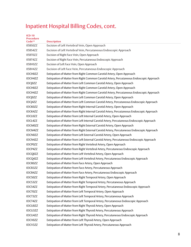| <b>ICD-10</b><br><b>Procedure</b><br>Code <sup>14</sup> | <b>Description</b>                                                                         |
|---------------------------------------------------------|--------------------------------------------------------------------------------------------|
| 05BS0ZZ                                                 | Excision of Left Vertebral Vein, Open Approach                                             |
| 05BS4ZZ                                                 | Excision of Left Vertebral Vein, Percutaneous Endoscopic Approach                          |
| 05BT0ZZ                                                 | Excision of Right Face Vein, Open Approach                                                 |
| 05BT4ZZ                                                 | Excision of Right Face Vein, Percutaneous Endoscopic Approach                              |
| 05BV0ZZ                                                 | Excision of Left Face Vein, Open Approach                                                  |
| 05BV4ZZ                                                 | Excision of Left Face Vein, Percutaneous Endoscopic Approach                               |
| 03CH0ZZ                                                 | Extirpation of Matter from Right Common Carotid Artery, Open Approach                      |
| 03CH4ZZ                                                 | Extirpation of Matter from Right Common Carotid Artery, Percutaneous Endoscopic Approach   |
| 03CJ0ZZ                                                 | Extirpation of Matter from Left Common Carotid Artery, Open Approach                       |
| 03CH0ZZ                                                 | Extirpation of Matter from Right Common Carotid Artery, Open Approach                      |
| 03CH4ZZ                                                 | Extirpation of Matter from Right Common Carotid Artery, Percutaneous Endoscopic Approach   |
| 03CJ0ZZ                                                 | Extirpation of Matter from Left Common Carotid Artery, Open Approach                       |
| 03CJ4ZZ                                                 | Extirpation of Matter from Left Common Carotid Artery, Percutaneous Endoscopic Approach    |
| 03CK0ZZ                                                 | Extirpation of Matter from Right Internal Carotid Artery, Open Approach                    |
| 03CK4ZZ                                                 | Extirpation of Matter from Right Internal Carotid Artery, Percutaneous Endoscopic Approach |
| 03CL0ZZ                                                 | Extirpation of Matter from Left Internal Carotid Artery, Open Approach                     |
| 03CL4ZZ                                                 | Extirpation of Matter from Left Internal Carotid Artery, Percutaneous Endoscopic Approach  |
| 03CM0ZZ                                                 | Extirpation of Matter from Right External Carotid Artery, Open Approach                    |
| 03CM4ZZ                                                 | Extirpation of Matter from Right External Carotid Artery, Percutaneous Endoscopic Approach |
| 03CN0ZZ                                                 | Extirpation of Matter from Left External Carotid Artery, Open Approach                     |
| 03CN4ZZ                                                 | Extirpation of Matter from Left External Carotid Artery, Percutaneous Endoscopic Approach  |
| 03CP0ZZ                                                 | Extirpation of Matter from Right Vertebral Artery, Open Approach                           |
| 03CP4ZZ                                                 | Extirpation of Matter from Right Vertebral Artery, Percutaneous Endoscopic Approach        |
| 03CQ0ZZ                                                 | Extirpation of Matter from Left Vertebral Artery, Open Approach                            |
| 03CQ4ZZ                                                 | Extirpation of Matter from Left Vertebral Artery, Percutaneous Endoscopic Approach         |
| 03CR0ZZ                                                 | Extirpation of Matter from Face Artery, Open Approach                                      |
| 03CR3ZZ                                                 | Extirpation of Matter from Face Artery, Percutaneous Approach                              |
| 03CR4ZZ                                                 | Extirpation of Matter from Face Artery, Percutaneous Endoscopic Approach                   |
| 03CS0ZZ                                                 | Extirpation of Matter from Right Temporal Artery, Open Approach                            |
| 03CS3ZZ                                                 | Extirpation of Matter from Right Temporal Artery, Percutaneous Approach                    |
| 03CS4ZZ                                                 | Extirpation of Matter from Right Temporal Artery, Percutaneous Endoscopic Approach         |
| 03CT0ZZ                                                 | Extirpation of Matter from Left Temporal Artery, Open Approach                             |
| 03CT3ZZ                                                 | Extirpation of Matter from Left Temporal Artery, Percutaneous Approach                     |
| 03CT4ZZ                                                 | Extirpation of Matter from Left Temporal Artery, Percutaneous Endoscopic Approach          |
| 03CU0ZZ                                                 | Extirpation of Matter from Right Thyroid Artery, Open Approach                             |
| 03CU3ZZ                                                 | Extirpation of Matter from Right Thyroid Artery, Percutaneous Approach                     |
| 03CU4ZZ                                                 | Extirpation of Matter from Right Thyroid Artery, Percutaneous Endoscopic Approach          |
| 03CV0ZZ                                                 | Extirpation of Matter from Left Thyroid Artery, Open Approach                              |
| 03CV3ZZ                                                 | Extirpation of Matter from Left Thyroid Artery, Percutaneous Approach                      |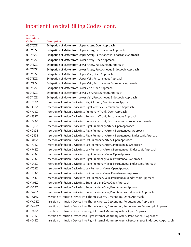| <b>ICD-10</b><br><b>Procedure</b> |                                                                                                   |
|-----------------------------------|---------------------------------------------------------------------------------------------------|
| Code <sup>14</sup><br>03CY0ZZ     | <b>Description</b><br>Extirpation of Matter from Upper Artery, Open Approach                      |
| 03CY3ZZ                           | Extirpation of Matter from Upper Artery, Percutaneous Approach                                    |
| 03CY4ZZ                           | Extirpation of Matter from Upper Artery, Percutaneous Endoscopic Approach                         |
| 04CY0ZZ                           |                                                                                                   |
|                                   | Extirpation of Matter from Lower Artery, Open Approach                                            |
| 04CY3ZZ                           | Extirpation of Matter from Lower Artery, Percutaneous Approach                                    |
| 04CY4ZZ                           | Extirpation of Matter from Lower Artery, Percutaneous Endoscopic Approach                         |
| 05CY0ZZ<br>05CY3ZZ                | Extirpation of Matter from Upper Vein, Open Approach                                              |
|                                   | Extirpation of Matter from Upper Vein, Percutaneous Approach                                      |
| 05CY4ZZ                           | Extirpation of Matter from Upper Vein, Percutaneous Endoscopic Approach                           |
| 06CY0ZZ                           | Extirpation of Matter from Lower Vein, Open Approach                                              |
| 06CY3ZZ                           | Extirpation of Matter from Lower Vein, Percutaneous Approach                                      |
| 06CY4ZZ                           | Extirpation of Matter from Lower Vein, Percutaneous Endoscopic Approach                           |
| 02H633Z                           | Insertion of Infusion Device into Right Atrium, Percutaneous Approach                             |
| 02HK33Z                           | Insertion of Infusion Device into Right Ventricle, Percutaneous Approach                          |
| 02HP03Z                           | Insertion of Infusion Device into Pulmonary Trunk, Open Approach                                  |
| 02HP33Z                           | Insertion of Infusion Device into Pulmonary Trunk, Percutaneous Approach                          |
| 02HP43Z                           | Insertion of Infusion Device into Pulmonary Trunk, Percutaneous Endoscopic Approach               |
| 02HQ03Z                           | Insertion of Infusion Device into Right Pulmonary Artery, Open Approach                           |
| 02HQ33Z                           | Insertion of Infusion Device into Right Pulmonary Artery, Percutaneous Approach                   |
| 02HQ43Z                           | Insertion of Infusion Device into Right Pulmonary Artery, Percutaneous Endoscopic Approach        |
| 02HR03Z                           | Insertion of Infusion Device into Left Pulmonary Artery, Open Approach                            |
| 02HR33Z                           | Insertion of Infusion Device into Left Pulmonary Artery, Percutaneous Approach                    |
| 02HR43Z                           | Insertion of Infusion Device into Left Pulmonary Artery, Percutaneous Endoscopic Approach         |
| 02HS03Z                           | Insertion of Infusion Device into Right Pulmonary Vein, Open Approach                             |
| 02HS33Z                           | Insertion of Infusion Device into Right Pulmonary Vein, Percutaneous Approach                     |
| 02HS43Z                           | Insertion of Infusion Device into Right Pulmonary Vein, Percutaneous Endoscopic Approach          |
| 02HT03Z                           | Insertion of Infusion Device into Left Pulmonary Vein, Open Approach                              |
| 02HT33Z                           | Insertion of Infusion Device into Left Pulmonary Vein, Percutaneous Approach                      |
| 02HT43Z                           | Insertion of Infusion Device into Left Pulmonary Vein, Percutaneous Endoscopic Approach           |
| 02HV03Z                           | Insertion of Infusion Device into Superior Vena Cava, Open Approach                               |
| 02HV33Z                           | Insertion of Infusion Device into Superior Vena Cava, Percutaneous Approach                       |
| 02HV43Z                           | Insertion of Infusion Device into Superior Vena Cava, Percutaneous Endoscopic Approach            |
| 02HW03Z                           | Insertion of Infusion Device into Thoracic Aorta, Descending, Open Approach                       |
| 02HW33Z                           | Insertion of Infusion Device into Thoracic Aorta, Descending, Percutaneous Approach               |
| 02HW43Z                           | Insertion of Infusion Device into Thoracic Aorta, Descending, Percutaneous Endoscopic Approach    |
| 03H003Z                           | Insertion of Infusion Device into Right Internal Mammary Artery, Open Approach                    |
| 03H033Z                           | Insertion of Infusion Device into Right Internal Mammary Artery, Percutaneous Approach            |
| 03H043Z                           | Insertion of Infusion Device into Right Internal Mammary Artery, Percutaneous Endoscopic Approach |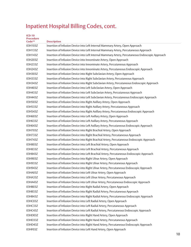| <b>ICD-10</b><br><b>Procedure</b><br>Code <sup>14</sup> | <b>Description</b>                                                                               |
|---------------------------------------------------------|--------------------------------------------------------------------------------------------------|
| 03H103Z                                                 | Insertion of Infusion Device into Left Internal Mammary Artery, Open Approach                    |
| 03H133Z                                                 | Insertion of Infusion Device into Left Internal Mammary Artery, Percutaneous Approach            |
| 03H143Z                                                 | Insertion of Infusion Device into Left Internal Mammary Artery, Percutaneous Endoscopic Approach |
| 03H203Z                                                 | Insertion of Infusion Device into Innominate Artery, Open Approach                               |
| 03H233Z                                                 | Insertion of Infusion Device into Innominate Artery, Percutaneous Approach                       |
| 03H243Z                                                 | Insertion of Infusion Device into Innominate Artery, Percutaneous Endoscopic Approach            |
| 03H303Z                                                 | Insertion of Infusion Device into Right Subclavian Artery, Open Approach                         |
| 03H333Z                                                 | Insertion of Infusion Device into Right Subclavian Artery, Percutaneous Approach                 |
| 03H343Z                                                 | Insertion of Infusion Device into Right Subclavian Artery, Percutaneous Endoscopic Approach      |
| 03H403Z                                                 | Insertion of Infusion Device into Left Subclavian Artery, Open Approach                          |
| 03H433Z                                                 | Insertion of Infusion Device into Left Subclavian Artery, Percutaneous Approach                  |
| 03H443Z                                                 | Insertion of Infusion Device into Left Subclavian Artery, Percutaneous Endoscopic Approach       |
| 03H503Z                                                 | Insertion of Infusion Device into Right Axillary Artery, Open Approach                           |
| 03H533Z                                                 | Insertion of Infusion Device into Right Axillary Artery, Percutaneous Approach                   |
| 03H543Z                                                 | Insertion of Infusion Device into Right Axillary Artery, Percutaneous Endoscopic Approach        |
| 03H603Z                                                 | Insertion of Infusion Device into Left Axillary Artery, Open Approach                            |
| 03H633Z                                                 | Insertion of Infusion Device into Left Axillary Artery, Percutaneous Approach                    |
| 03H643Z                                                 | Insertion of Infusion Device into Left Axillary Artery, Percutaneous Endoscopic Approach         |
| 03H703Z                                                 | Insertion of Infusion Device into Right Brachial Artery, Open Approach                           |
| 03H733Z                                                 | Insertion of Infusion Device into Right Brachial Artery, Percutaneous Approach                   |
| 03H743Z                                                 | Insertion of Infusion Device into Right Brachial Artery, Percutaneous Endoscopic Approach        |
| 03H803Z                                                 | Insertion of Infusion Device into Left Brachial Artery, Open Approach                            |
| 03H833Z                                                 | Insertion of Infusion Device into Left Brachial Artery, Percutaneous Approach                    |
| 03H843Z                                                 | Insertion of Infusion Device into Left Brachial Artery, Percutaneous Endoscopic Approach         |
| 03H903Z                                                 | Insertion of Infusion Device into Right Ulnar Artery, Open Approach                              |
| 03H933Z                                                 | Insertion of Infusion Device into Right Ulnar Artery, Percutaneous Approach                      |
| 03H943Z                                                 | Insertion of Infusion Device into Right Ulnar Artery, Percutaneous Endoscopic Approach           |
| 03HA03Z                                                 | Insertion of Infusion Device into Left Ulnar Artery, Open Approach                               |
| 03HA33Z                                                 | Insertion of Infusion Device into Left Ulnar Artery, Percutaneous Approach                       |
| 03HA43Z                                                 | Insertion of Infusion Device into Left Ulnar Artery, Percutaneous Endoscopic Approach            |
| 03HB03Z                                                 | Insertion of Infusion Device into Right Radial Artery, Open Approach                             |
| 03HB33Z                                                 | Insertion of Infusion Device into Right Radial Artery, Percutaneous Approach                     |
| 03HB43Z                                                 | Insertion of Infusion Device into Right Radial Artery, Percutaneous Endoscopic Approach          |
| 03HC03Z                                                 | Insertion of Infusion Device into Left Radial Artery, Open Approach                              |
| 03HC33Z                                                 | Insertion of Infusion Device into Left Radial Artery, Percutaneous Approach                      |
| 03HC43Z                                                 | Insertion of Infusion Device into Left Radial Artery, Percutaneous Endoscopic Approach           |
| 03HD03Z                                                 | Insertion of Infusion Device into Right Hand Artery, Open Approach                               |
| 03HD33Z                                                 | Insertion of Infusion Device into Right Hand Artery, Percutaneous Approach                       |
| 03HD43Z                                                 | Insertion of Infusion Device into Right Hand Artery, Percutaneous Endoscopic Approach            |
| 03HF03Z                                                 | Insertion of Infusion Device into Left Hand Artery, Open Approach                                |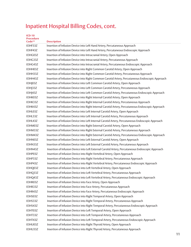| <b>ICD-10</b><br><b>Procedure</b><br>Code <sup>14</sup> | <b>Description</b>                                                                                |
|---------------------------------------------------------|---------------------------------------------------------------------------------------------------|
| 03HF33Z                                                 | Insertion of Infusion Device into Left Hand Artery, Percutaneous Approach                         |
| 03HF43Z                                                 | Insertion of Infusion Device into Left Hand Artery, Percutaneous Endoscopic Approach              |
| 03HG03Z                                                 | Insertion of Infusion Device into Intracranial Artery, Open Approach                              |
| 03HG33Z                                                 | Insertion of Infusion Device into Intracranial Artery, Percutaneous Approach                      |
| 03HG43Z                                                 | Insertion of Infusion Device into Intracranial Artery, Percutaneous Endoscopic Approach           |
| 03HH03Z                                                 | Insertion of Infusion Device into Right Common Carotid Artery, Open Approach                      |
| 03HH33Z                                                 | Insertion of Infusion Device into Right Common Carotid Artery, Percutaneous Approach              |
| 03HH43Z                                                 | Insertion of Infusion Device into Right Common Carotid Artery, Percutaneous Endoscopic Approach   |
| 03HJ03Z                                                 | Insertion of Infusion Device into Left Common Carotid Artery, Open Approach                       |
| 03HJ33Z                                                 | Insertion of Infusion Device into Left Common Carotid Artery, Percutaneous Approach               |
| 03HJ43Z                                                 | Insertion of Infusion Device into Left Common Carotid Artery, Percutaneous Endoscopic Approach    |
| 03HK03Z                                                 | Insertion of Infusion Device into Right Internal Carotid Artery, Open Approach                    |
| 03HK33Z                                                 | Insertion of Infusion Device into Right Internal Carotid Artery, Percutaneous Approach            |
| 03HK43Z                                                 | Insertion of Infusion Device into Right Internal Carotid Artery, Percutaneous Endoscopic Approach |
| 03HL03Z                                                 | Insertion of Infusion Device into Left Internal Carotid Artery, Open Approach                     |
| 03HL33Z                                                 | Insertion of Infusion Device into Left Internal Carotid Artery, Percutaneous Approach             |
| 03HL43Z                                                 | Insertion of Infusion Device into Left Internal Carotid Artery, Percutaneous Endoscopic Approach  |
| 03HM03Z                                                 | Insertion of Infusion Device into Right External Carotid Artery, Open Approach                    |
| 03HM33Z                                                 | Insertion of Infusion Device into Right External Carotid Artery, Percutaneous Approach            |
| 03HM43Z                                                 | Insertion of Infusion Device into Right External Carotid Artery, Percutaneous Endoscopic Approach |
| 03HN03Z                                                 | Insertion of Infusion Device into Left External Carotid Artery, Open Approach                     |
| 03HN33Z                                                 | Insertion of Infusion Device into Left External Carotid Artery, Percutaneous Approach             |
| 03HN43Z                                                 | Insertion of Infusion Device into Left External Carotid Artery, Percutaneous Endoscopic Approach  |
| 03HP03Z                                                 | Insertion of Infusion Device into Right Vertebral Artery, Open Approach                           |
| 03HP33Z                                                 | Insertion of Infusion Device into Right Vertebral Artery, Percutaneous Approach                   |
| 03HP43Z                                                 | Insertion of Infusion Device into Right Vertebral Artery, Percutaneous Endoscopic Approach        |
| 03HQ03Z                                                 | Insertion of Infusion Device into Left Vertebral Artery, Open Approach                            |
| 03HQ33Z                                                 | Insertion of Infusion Device into Left Vertebral Artery, Percutaneous Approach                    |
| 03HQ43Z                                                 | Insertion of Infusion Device into Left Vertebral Artery, Percutaneous Endoscopic Approach         |
| 03HR03Z                                                 | Insertion of Infusion Device into Face Artery, Open Approach                                      |
| 03HR33Z                                                 | Insertion of Infusion Device into Face Artery, Percutaneous Approach                              |
| 03HR43Z                                                 | Insertion of Infusion Device into Face Artery, Percutaneous Endoscopic Approach                   |
| 03HS03Z                                                 | Insertion of Infusion Device into Right Temporal Artery, Open Approach                            |
| 03HS33Z                                                 | Insertion of Infusion Device into Right Temporal Artery, Percutaneous Approach                    |
| 03HS43Z                                                 | Insertion of Infusion Device into Right Temporal Artery, Percutaneous Endoscopic Approach         |
| 03HT03Z                                                 | Insertion of Infusion Device into Left Temporal Artery, Open Approach                             |
| 03HT33Z                                                 | Insertion of Infusion Device into Left Temporal Artery, Percutaneous Approach                     |
| 03HT43Z                                                 | Insertion of Infusion Device into Left Temporal Artery, Percutaneous Endoscopic Approach          |
| 03HU03Z                                                 | Insertion of Infusion Device into Right Thyroid Artery, Open Approach                             |
| 03HU33Z                                                 | Insertion of Infusion Device into Right Thyroid Artery, Percutaneous Approach                     |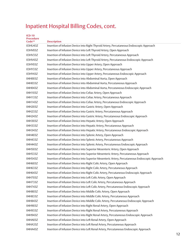| $ICD-10$<br><b>Procedure</b><br>Code <sup>14</sup> | <b>Description</b>                                                                             |
|----------------------------------------------------|------------------------------------------------------------------------------------------------|
| 03HU43Z                                            | Insertion of Infusion Device into Right Thyroid Artery, Percutaneous Endoscopic Approach       |
| 03HV03Z                                            | Insertion of Infusion Device into Left Thyroid Artery, Open Approach                           |
| 03HV33Z                                            | Insertion of Infusion Device into Left Thyroid Artery, Percutaneous Approach                   |
| 03HV43Z                                            | Insertion of Infusion Device into Left Thyroid Artery, Percutaneous Endoscopic Approach        |
| 03HY03Z                                            | Insertion of Infusion Device into Upper Artery, Open Approach                                  |
| 03HY33Z                                            | Insertion of Infusion Device into Upper Artery, Percutaneous Approach                          |
| 03HY43Z                                            | Insertion of Infusion Device into Upper Artery, Percutaneous Endoscopic Approach               |
| 04H003Z                                            | Insertion of Infusion Device into Abdominal Aorta, Open Approach                               |
| 04H033Z                                            | Insertion of Infusion Device into Abdominal Aorta, Percutaneous Approach                       |
| 04H043Z                                            | Insertion of Infusion Device into Abdominal Aorta, Percutaneous Endoscopic Approach            |
| 04H103Z                                            | Insertion of Infusion Device into Celiac Artery, Open Approach                                 |
| 04H133Z                                            | Insertion of Infusion Device into Celiac Artery, Percutaneous Approach                         |
| 04H143Z                                            | Insertion of Infusion Device into Celiac Artery, Percutaneous Endoscopic Approach              |
| 04H203Z                                            | Insertion of Infusion Device into Gastric Artery, Open Approach                                |
| 04H233Z                                            | Insertion of Infusion Device into Gastric Artery, Percutaneous Approach                        |
| 04H243Z                                            | Insertion of Infusion Device into Gastric Artery, Percutaneous Endoscopic Approach             |
| 04H303Z                                            | Insertion of Infusion Device into Hepatic Artery, Open Approach                                |
| 04H333Z                                            | Insertion of Infusion Device into Hepatic Artery, Percutaneous Approach                        |
| 04H343Z                                            | Insertion of Infusion Device into Hepatic Artery, Percutaneous Endoscopic Approach             |
| 04H403Z                                            | Insertion of Infusion Device into Splenic Artery, Open Approach                                |
| 04H433Z                                            | Insertion of Infusion Device into Splenic Artery, Percutaneous Approach                        |
| 04H443Z                                            | Insertion of Infusion Device into Splenic Artery, Percutaneous Endoscopic Approach             |
| 04H503Z                                            | Insertion of Infusion Device into Superior Mesenteric Artery, Open Approach                    |
| 04H533Z                                            | Insertion of Infusion Device into Superior Mesenteric Artery, Percutaneous Approach            |
| 04H543Z                                            | Insertion of Infusion Device into Superior Mesenteric Artery, Percutaneous Endoscopic Approach |
| 04H603Z                                            | Insertion of Infusion Device into Right Colic Artery, Open Approach                            |
| 04H633Z                                            | Insertion of Infusion Device into Right Colic Artery, Percutaneous Approach                    |
| 04H643Z                                            | Insertion of Infusion Device into Right Colic Artery, Percutaneous Endoscopic Approach         |
| 04H703Z                                            | Insertion of Infusion Device into Left Colic Artery, Open Approach                             |
| 04H733Z                                            | Insertion of Infusion Device into Left Colic Artery, Percutaneous Approach                     |
| 04H743Z                                            | Insertion of Infusion Device into Left Colic Artery, Percutaneous Endoscopic Approach          |
| 04H803Z                                            | Insertion of Infusion Device into Middle Colic Artery, Open Approach                           |
| 04H833Z                                            | Insertion of Infusion Device into Middle Colic Artery, Percutaneous Approach                   |
| 04H843Z                                            | Insertion of Infusion Device into Middle Colic Artery, Percutaneous Endoscopic Approach        |
| 04H903Z                                            | Insertion of Infusion Device into Right Renal Artery, Open Approach                            |
| 04H933Z                                            | Insertion of Infusion Device into Right Renal Artery, Percutaneous Approach                    |
| 04H943Z                                            | Insertion of Infusion Device into Right Renal Artery, Percutaneous Endoscopic Approach         |
| 04HA03Z                                            | Insertion of Infusion Device into Left Renal Artery, Open Approach                             |
| 04HA33Z                                            | Insertion of Infusion Device into Left Renal Artery, Percutaneous Approach                     |
| 04HA43Z                                            | Insertion of Infusion Device into Left Renal Artery, Percutaneous Endoscopic Approach          |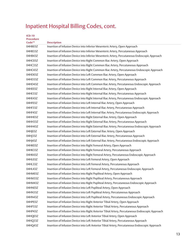| <b>ICD-10</b>                          |                                                                                                  |
|----------------------------------------|--------------------------------------------------------------------------------------------------|
| <b>Procedure</b><br>Code <sup>14</sup> | <b>Description</b>                                                                               |
| 04HB03Z                                | Insertion of Infusion Device into Inferior Mesenteric Artery, Open Approach                      |
| 04HB33Z                                | Insertion of Infusion Device into Inferior Mesenteric Artery, Percutaneous Approach              |
| 04HB43Z                                | Insertion of Infusion Device into Inferior Mesenteric Artery, Percutaneous Endoscopic Approach   |
| 04HC03Z                                | Insertion of Infusion Device into Right Common Iliac Artery, Open Approach                       |
| 04HC33Z                                | Insertion of Infusion Device into Right Common Iliac Artery, Percutaneous Approach               |
| 04HC43Z                                | Insertion of Infusion Device into Right Common Iliac Artery, Percutaneous Endoscopic Approach    |
| 04HD03Z                                | Insertion of Infusion Device into Left Common Iliac Artery, Open Approach                        |
| 04HD33Z                                | Insertion of Infusion Device into Left Common Iliac Artery, Percutaneous Approach                |
| 04HD43Z                                | Insertion of Infusion Device into Left Common Iliac Artery, Percutaneous Endoscopic Approach     |
| 04HE03Z                                | Insertion of Infusion Device into Right Internal Iliac Artery, Open Approach                     |
| 04HE33Z                                | Insertion of Infusion Device into Right Internal Iliac Artery, Percutaneous Approach             |
| 04HE43Z                                | Insertion of Infusion Device into Right Internal Iliac Artery, Percutaneous Endoscopic Approach  |
| 04HF03Z                                | Insertion of Infusion Device into Left Internal Iliac Artery, Open Approach                      |
| 04HF33Z                                | Insertion of Infusion Device into Left Internal Iliac Artery, Percutaneous Approach              |
| 04HF43Z                                | Insertion of Infusion Device into Left Internal Iliac Artery, Percutaneous Endoscopic Approach   |
| 04HH03Z                                | Insertion of Infusion Device into Right External Iliac Artery, Open Approach                     |
| 04HH33Z                                | Insertion of Infusion Device into Right External Iliac Artery, Percutaneous Approach             |
| 04HH43Z                                | Insertion of Infusion Device into Right External Iliac Artery, Percutaneous Endoscopic Approach  |
| 04HJ03Z                                | Insertion of Infusion Device into Left External Iliac Artery, Open Approach                      |
| 04HJ33Z                                | Insertion of Infusion Device into Left External Iliac Artery, Percutaneous Approach              |
| 04HJ43Z                                | Insertion of Infusion Device into Left External Iliac Artery, Percutaneous Endoscopic Approach   |
| 04HK03Z                                | Insertion of Infusion Device into Right Femoral Artery, Open Approach                            |
| 04HK33Z                                | Insertion of Infusion Device into Right Femoral Artery, Percutaneous Approach                    |
| 04HK43Z                                | Insertion of Infusion Device into Right Femoral Artery, Percutaneous Endoscopic Approach         |
| 04HL03Z                                | Insertion of Infusion Device into Left Femoral Artery, Open Approach                             |
| 04HL33Z                                | Insertion of Infusion Device into Left Femoral Artery, Percutaneous Approach                     |
| 04HL43Z                                | Insertion of Infusion Device into Left Femoral Artery, Percutaneous Endoscopic Approach          |
| 04HM03Z                                | Insertion of Infusion Device into Right Popliteal Artery, Open Approach                          |
| 04HM33Z                                | Insertion of Infusion Device into Right Popliteal Artery, Percutaneous Approach                  |
| 04HM43Z                                | Insertion of Infusion Device into Right Popliteal Artery, Percutaneous Endoscopic Approach       |
| 04HN03Z                                | Insertion of Infusion Device into Left Popliteal Artery, Open Approach                           |
| 04HN33Z                                | Insertion of Infusion Device into Left Popliteal Artery, Percutaneous Approach                   |
| 04HN43Z                                | Insertion of Infusion Device into Left Popliteal Artery, Percutaneous Endoscopic Approach        |
| 04HP03Z                                | Insertion of Infusion Device into Right Anterior Tibial Artery, Open Approach                    |
| 04HP33Z                                | Insertion of Infusion Device into Right Anterior Tibial Artery, Percutaneous Approach            |
| 04HP43Z                                | Insertion of Infusion Device into Right Anterior Tibial Artery, Percutaneous Endoscopic Approach |
| 04HQ03Z                                | Insertion of Infusion Device into Left Anterior Tibial Artery, Open Approach                     |
| 04HQ33Z                                | Insertion of Infusion Device into Left Anterior Tibial Artery, Percutaneous Approach             |
| 04HQ43Z                                | Insertion of Infusion Device into Left Anterior Tibial Artery, Percutaneous Endoscopic Approach  |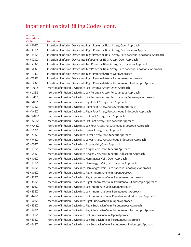| <b>ICD-10</b><br><b>Procedure</b><br>Code <sup>14</sup> | <b>Description</b>                                                                                |
|---------------------------------------------------------|---------------------------------------------------------------------------------------------------|
| 04HR03Z                                                 | Insertion of Infusion Device into Right Posterior Tibial Artery, Open Approach                    |
| 04HR33Z                                                 | Insertion of Infusion Device into Right Posterior Tibial Artery, Percutaneous Approach            |
| 04HR43Z                                                 | Insertion of Infusion Device into Right Posterior Tibial Artery, Percutaneous Endoscopic Approach |
| 04HS03Z                                                 | Insertion of Infusion Device into Left Posterior Tibial Artery, Open Approach                     |
| 04HS33Z                                                 | Insertion of Infusion Device into Left Posterior Tibial Artery, Percutaneous Approach             |
| 04HS43Z                                                 | Insertion of Infusion Device into Left Posterior Tibial Artery, Percutaneous Endoscopic Approach  |
| 04HT03Z                                                 | Insertion of Infusion Device into Right Peroneal Artery, Open Approach                            |
| 04HT33Z                                                 | Insertion of Infusion Device into Right Peroneal Artery, Percutaneous Approach                    |
| 04HT43Z                                                 | Insertion of Infusion Device into Right Peroneal Artery, Percutaneous Endoscopic Approach         |
| 04HU03Z                                                 | Insertion of Infusion Device into Left Peroneal Artery, Open Approach                             |
| 04HU33Z                                                 | Insertion of Infusion Device into Left Peroneal Artery, Percutaneous Approach                     |
| 04HU43Z                                                 | Insertion of Infusion Device into Left Peroneal Artery, Percutaneous Endoscopic Approach          |
| 04HV03Z                                                 | Insertion of Infusion Device into Right Foot Artery, Open Approach                                |
| 04HV33Z                                                 | Insertion of Infusion Device into Right Foot Artery, Percutaneous Approach                        |
| 04HV43Z                                                 | Insertion of Infusion Device into Right Foot Artery, Percutaneous Endoscopic Approach             |
| 04HW03Z                                                 | Insertion of Infusion Device into Left Foot Artery, Open Approach                                 |
| 04HW33Z                                                 | Insertion of Infusion Device into Left Foot Artery, Percutaneous Approach                         |
| 04HW43Z                                                 | Insertion of Infusion Device into Left Foot Artery, Percutaneous Endoscopic Approach              |
| 04HY03Z                                                 | Insertion of Infusion Device into Lower Artery, Open Approach                                     |
| 04HY33Z                                                 | Insertion of Infusion Device into Lower Artery, Percutaneous Approach                             |
| 04HY43Z                                                 | Insertion of Infusion Device into Lower Artery, Percutaneous Endoscopic Approach                  |
| 05H003Z                                                 | Insertion of Infusion Device into Azygos Vein, Open Approach                                      |
| 05H033Z                                                 | Insertion of Infusion Device into Azygos Vein, Percutaneous Approach                              |
| 05H043Z                                                 | Insertion of Infusion Device into Azygos Vein, Percutaneous Endoscopic Approach                   |
| 05H103Z                                                 | Insertion of Infusion Device into Hemiazygos Vein, Open Approach                                  |
| 05H133Z                                                 | Insertion of Infusion Device into Hemiazygos Vein, Percutaneous Approach                          |
| 05H143Z                                                 | Insertion of Infusion Device into Hemiazygos Vein, Percutaneous Endoscopic Approach               |
| 05H303Z                                                 | Insertion of Infusion Device into Right Innominate Vein, Open Approach                            |
| 05H333Z                                                 | Insertion of Infusion Device into Right Innominate Vein, Percutaneous Approach                    |
| 05H343Z                                                 | Insertion of Infusion Device into Right Innominate Vein, Percutaneous Endoscopic Approach         |
| 05H403Z                                                 | Insertion of Infusion Device into Left Innominate Vein, Open Approach                             |
| 05H433Z                                                 | Insertion of Infusion Device into Left Innominate Vein, Percutaneous Approach                     |
| 05H443Z                                                 | Insertion of Infusion Device into Left Innominate Vein, Percutaneous Endoscopic Approach          |
| 05H503Z                                                 | Insertion of Infusion Device into Right Subclavian Vein, Open Approach                            |
| 05H533Z                                                 | Insertion of Infusion Device into Right Subclavian Vein, Percutaneous Approach                    |
| 05H543Z                                                 | Insertion of Infusion Device into Right Subclavian Vein, Percutaneous Endoscopic Approach         |
| 05H603Z                                                 | Insertion of Infusion Device into Left Subclavian Vein, Open Approach                             |
| 05H633Z                                                 | Insertion of Infusion Device into Left Subclavian Vein, Percutaneous Approach                     |
| 05H643Z                                                 | Insertion of Infusion Device into Left Subclavian Vein, Percutaneous Endoscopic Approach          |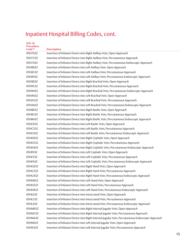| <b>ICD-10</b><br><b>Procedure</b><br>Code <sup>14</sup> | <b>Description</b>                                                                              |
|---------------------------------------------------------|-------------------------------------------------------------------------------------------------|
| 05H703Z                                                 | Insertion of Infusion Device into Right Axillary Vein, Open Approach                            |
| 05H733Z                                                 | Insertion of Infusion Device into Right Axillary Vein, Percutaneous Approach                    |
| 05H743Z                                                 | Insertion of Infusion Device into Right Axillary Vein, Percutaneous Endoscopic Approach         |
| 05H803Z                                                 | Insertion of Infusion Device into Left Axillary Vein, Open Approach                             |
| 05H833Z                                                 | Insertion of Infusion Device into Left Axillary Vein, Percutaneous Approach                     |
| 05H843Z                                                 | Insertion of Infusion Device into Left Axillary Vein, Percutaneous Endoscopic Approach          |
| 05H903Z                                                 | Insertion of Infusion Device into Right Brachial Vein, Open Approach                            |
| 05H933Z                                                 | Insertion of Infusion Device into Right Brachial Vein, Percutaneous Approach                    |
| 05H943Z                                                 | Insertion of Infusion Device into Right Brachial Vein, Percutaneous Endoscopic Approach         |
| 05HA03Z                                                 | Insertion of Infusion Device into Left Brachial Vein, Open Approach                             |
| 05HA33Z                                                 | Insertion of Infusion Device into Left Brachial Vein, Percutaneous Approach                     |
| 05HA43Z                                                 | Insertion of Infusion Device into Left Brachial Vein, Percutaneous Endoscopic Approach          |
| 05HB03Z                                                 | Insertion of Infusion Device into Right Basilic Vein, Open Approach                             |
| 05HB33Z                                                 | Insertion of Infusion Device into Right Basilic Vein, Percutaneous Approach                     |
| 05HB43Z                                                 | Insertion of Infusion Device into Right Basilic Vein, Percutaneous Endoscopic Approach          |
| 05HC03Z                                                 | Insertion of Infusion Device into Left Basilic Vein, Open Approach                              |
| 05HC33Z                                                 | Insertion of Infusion Device into Left Basilic Vein, Percutaneous Approach                      |
| 05HC43Z                                                 | Insertion of Infusion Device into Left Basilic Vein, Percutaneous Endoscopic Approach           |
| 05HD03Z                                                 | Insertion of Infusion Device into Right Cephalic Vein, Open Approach                            |
| 05HD33Z                                                 | Insertion of Infusion Device into Right Cephalic Vein, Percutaneous Approach                    |
| 05HD43Z                                                 | Insertion of Infusion Device into Right Cephalic Vein, Percutaneous Endoscopic Approach         |
| 05HF03Z                                                 | Insertion of Infusion Device into Left Cephalic Vein, Open Approach                             |
| 05HF33Z                                                 | Insertion of Infusion Device into Left Cephalic Vein, Percutaneous Approach                     |
| 05HF43Z                                                 | Insertion of Infusion Device into Left Cephalic Vein, Percutaneous Endoscopic Approach          |
| 05HG03Z                                                 | Insertion of Infusion Device into Right Hand Vein, Open Approach                                |
| 05HG33Z                                                 | Insertion of Infusion Device into Right Hand Vein, Percutaneous Approach                        |
| 05HG43Z                                                 | Insertion of Infusion Device into Right Hand Vein, Percutaneous Endoscopic Approach             |
| 05HH03Z                                                 | Insertion of Infusion Device into Left Hand Vein, Open Approach                                 |
| 05HH33Z                                                 | Insertion of Infusion Device into Left Hand Vein, Percutaneous Approach                         |
| 05HH43Z                                                 | Insertion of Infusion Device into Left Hand Vein, Percutaneous Endoscopic Approach              |
| 05HL03Z                                                 | Insertion of Infusion Device into Intracranial Vein, Open Approach                              |
| 05HL33Z                                                 | Insertion of Infusion Device into Intracranial Vein, Percutaneous Approach                      |
| 05HL43Z                                                 | Insertion of Infusion Device into Intracranial Vein, Percutaneous Endoscopic Approach           |
| 05HM03Z                                                 | Insertion of Infusion Device into Right Internal Jugular Vein, Open Approach                    |
| 05HM33Z                                                 | Insertion of Infusion Device into Right Internal Jugular Vein, Percutaneous Approach            |
| 05HM43Z                                                 | Insertion of Infusion Device into Right Internal Jugular Vein, Percutaneous Endoscopic Approach |
| 05HN03Z                                                 | Insertion of Infusion Device into Left Internal Jugular Vein, Open Approach                     |
| 05HN33Z                                                 | Insertion of Infusion Device into Left Internal Jugular Vein, Percutaneous Approach             |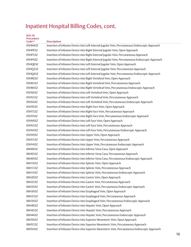| <b>ICD-10</b><br><b>Procedure</b><br>Code <sup>14</sup> | <b>Description</b>                                                                              |
|---------------------------------------------------------|-------------------------------------------------------------------------------------------------|
| 05HN43Z                                                 | Insertion of Infusion Device into Left Internal Jugular Vein, Percutaneous Endoscopic Approach  |
| 05HP03Z                                                 | Insertion of Infusion Device into Right External Jugular Vein, Open Approach                    |
| 05HP33Z                                                 | Insertion of Infusion Device into Right External Jugular Vein, Percutaneous Approach            |
| 05HP43Z                                                 | Insertion of Infusion Device into Right External Jugular Vein, Percutaneous Endoscopic Approach |
| 05HQ03Z                                                 | Insertion of Infusion Device into Left External Jugular Vein, Open Approach                     |
| 05HQ33Z                                                 | Insertion of Infusion Device into Left External Jugular Vein, Percutaneous Approach             |
| 05HQ43Z                                                 | Insertion of Infusion Device into Left External Jugular Vein, Percutaneous Endoscopic Approach  |
| 05HR03Z                                                 | Insertion of Infusion Device into Right Vertebral Vein, Open Approach                           |
| 05HR33Z                                                 | Insertion of Infusion Device into Right Vertebral Vein, Percutaneous Approach                   |
| 05HR43Z                                                 | Insertion of Infusion Device into Right Vertebral Vein, Percutaneous Endoscopic Approach        |
| 05HS03Z                                                 | Insertion of Infusion Device into Left Vertebral Vein, Open Approach                            |
| 05HS33Z                                                 | Insertion of Infusion Device into Left Vertebral Vein, Percutaneous Approach                    |
| 05HS43Z                                                 | Insertion of Infusion Device into Left Vertebral Vein, Percutaneous Endoscopic Approach         |
| 05HT03Z                                                 | Insertion of Infusion Device into Right Face Vein, Open Approach                                |
| 05HT33Z                                                 | Insertion of Infusion Device into Right Face Vein, Percutaneous Approach                        |
| 05HT43Z                                                 | Insertion of Infusion Device into Right Face Vein, Percutaneous Endoscopic Approach             |
| 05HV03Z                                                 | Insertion of Infusion Device into Left Face Vein, Open Approach                                 |
| 05HV33Z                                                 | Insertion of Infusion Device into Left Face Vein, Percutaneous Approach                         |
| 05HV43Z                                                 | Insertion of Infusion Device into Left Face Vein, Percutaneous Endoscopic Approach              |
| 05HY03Z                                                 | Insertion of Infusion Device into Upper Vein, Open Approach                                     |
| 05HY33Z                                                 | Insertion of Infusion Device into Upper Vein, Percutaneous Approach                             |
| 05HY43Z                                                 | Insertion of Infusion Device into Upper Vein, Percutaneous Endoscopic Approach                  |
| 06H003Z                                                 | Insertion of Infusion Device into Inferior Vena Cava, Open Approach                             |
| 06H033Z                                                 | Insertion of Infusion Device into Inferior Vena Cava, Percutaneous Approach                     |
| 06H043Z                                                 | Insertion of Infusion Device into Inferior Vena Cava, Percutaneous Endoscopic Approach          |
| 06H103Z                                                 | Insertion of Infusion Device into Splenic Vein, Open Approach                                   |
| 06H133Z                                                 | Insertion of Infusion Device into Splenic Vein, Percutaneous Approach                           |
| 06H143Z                                                 | Insertion of Infusion Device into Splenic Vein, Percutaneous Endoscopic Approach                |
| 06H203Z                                                 | Insertion of Infusion Device into Gastric Vein, Open Approach                                   |
| 06H233Z                                                 | Insertion of Infusion Device into Gastric Vein, Percutaneous Approach                           |
| 06H243Z                                                 | Insertion of Infusion Device into Gastric Vein, Percutaneous Endoscopic Approach                |
| 06H303Z                                                 | Insertion of Infusion Device into Esophageal Vein, Open Approach                                |
| 06H333Z                                                 | Insertion of Infusion Device into Esophageal Vein, Percutaneous Approach                        |
| 06H343Z                                                 | Insertion of Infusion Device into Esophageal Vein, Percutaneous Endoscopic Approach             |
| 06H403Z                                                 | Insertion of Infusion Device into Hepatic Vein, Open Approach                                   |
| 06H433Z                                                 | Insertion of Infusion Device into Hepatic Vein, Percutaneous Approach                           |
| 06H443Z                                                 | Insertion of Infusion Device into Hepatic Vein, Percutaneous Endoscopic Approach                |
| 06H503Z                                                 | Insertion of Infusion Device into Superior Mesenteric Vein, Open Approach                       |
| 06H533Z                                                 | Insertion of Infusion Device into Superior Mesenteric Vein, Percutaneous Approach               |
| 06H543Z                                                 | Insertion of Infusion Device into Superior Mesenteric Vein, Percutaneous Endoscopic Approach    |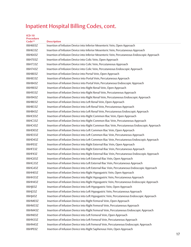| <b>ICD-10</b><br><b>Procedure</b><br>Code <sup>14</sup> | <b>Description</b>                                                                            |
|---------------------------------------------------------|-----------------------------------------------------------------------------------------------|
| 06H603Z                                                 | Insertion of Infusion Device into Inferior Mesenteric Vein, Open Approach                     |
| 06H633Z                                                 | Insertion of Infusion Device into Inferior Mesenteric Vein, Percutaneous Approach             |
| 06H643Z                                                 | Insertion of Infusion Device into Inferior Mesenteric Vein, Percutaneous Endoscopic Approach  |
| 06H703Z                                                 | Insertion of Infusion Device into Colic Vein, Open Approach                                   |
| 06H733Z                                                 | Insertion of Infusion Device into Colic Vein, Percutaneous Approach                           |
| 06H743Z                                                 | Insertion of Infusion Device into Colic Vein, Percutaneous Endoscopic Approach                |
| 06H803Z                                                 | Insertion of Infusion Device into Portal Vein, Open Approach                                  |
| 06H833Z                                                 | Insertion of Infusion Device into Portal Vein, Percutaneous Approach                          |
| 06H843Z                                                 | Insertion of Infusion Device into Portal Vein, Percutaneous Endoscopic Approach               |
| 06H903Z                                                 | Insertion of Infusion Device into Right Renal Vein, Open Approach                             |
| 06H933Z                                                 | Insertion of Infusion Device into Right Renal Vein, Percutaneous Approach                     |
| 06H943Z                                                 | Insertion of Infusion Device into Right Renal Vein, Percutaneous Endoscopic Approach          |
| 06HB03Z                                                 | Insertion of Infusion Device into Left Renal Vein, Open Approach                              |
| 06HB33Z                                                 | Insertion of Infusion Device into Left Renal Vein, Percutaneous Approach                      |
| 06HB43Z                                                 | Insertion of Infusion Device into Left Renal Vein, Percutaneous Endoscopic Approach           |
| 06HC03Z                                                 | Insertion of Infusion Device into Right Common Iliac Vein, Open Approach                      |
| 06HC33Z                                                 | Insertion of Infusion Device into Right Common Iliac Vein, Percutaneous Approach              |
| 06HC43Z                                                 | Insertion of Infusion Device into Right Common Iliac Vein, Percutaneous Endoscopic Approach   |
| 06HD03Z                                                 | Insertion of Infusion Device into Left Common Iliac Vein, Open Approach                       |
| 06HD33Z                                                 | Insertion of Infusion Device into Left Common Iliac Vein, Percutaneous Approach               |
| 06HD43Z                                                 | Insertion of Infusion Device into Left Common Iliac Vein, Percutaneous Endoscopic Approach    |
| 06HF03Z                                                 | Insertion of Infusion Device into Right External Iliac Vein, Open Approach                    |
| 06HF33Z                                                 | Insertion of Infusion Device into Right External Iliac Vein, Percutaneous Approach            |
| 06HF43Z                                                 | Insertion of Infusion Device into Right External Iliac Vein, Percutaneous Endoscopic Approach |
| 06HG03Z                                                 | Insertion of Infusion Device into Left External Iliac Vein, Open Approach                     |
| 06HG33Z                                                 | Insertion of Infusion Device into Left External Iliac Vein, Percutaneous Approach             |
| 06HG43Z                                                 | Insertion of Infusion Device into Left External Iliac Vein, Percutaneous Endoscopic Approach  |
| 06HH03Z                                                 | Insertion of Infusion Device into Right Hypogastric Vein, Open Approach                       |
| 06HH33Z                                                 | Insertion of Infusion Device into Right Hypogastric Vein, Percutaneous Approach               |
| 06HH43Z                                                 | Insertion of Infusion Device into Right Hypogastric Vein, Percutaneous Endoscopic Approach    |
| 06HJ03Z                                                 | Insertion of Infusion Device into Left Hypogastric Vein, Open Approach                        |
| 06HJ33Z                                                 | Insertion of Infusion Device into Left Hypogastric Vein, Percutaneous Approach                |
| 06HJ43Z                                                 | Insertion of Infusion Device into Left Hypogastric Vein, Percutaneous Endoscopic Approach     |
| 06HM03Z                                                 | Insertion of Infusion Device into Right Femoral Vein, Open Approach                           |
| 06HM33Z                                                 | Insertion of Infusion Device into Right Femoral Vein, Percutaneous Approach                   |
| 06HM43Z                                                 | Insertion of Infusion Device into Right Femoral Vein, Percutaneous Endoscopic Approach        |
| 06HN03Z                                                 | Insertion of Infusion Device into Left Femoral Vein, Open Approach                            |
| 06HN33Z                                                 | Insertion of Infusion Device into Left Femoral Vein, Percutaneous Approach                    |
| 06HN43Z                                                 | Insertion of Infusion Device into Left Femoral Vein, Percutaneous Endoscopic Approach         |
| 06HP03Z                                                 | Insertion of Infusion Device into Right Saphenous Vein, Open Approach                         |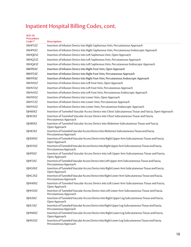| <b>ICD-10</b><br><b>Procedure</b><br>Code <sup>14</sup> | <b>Description</b>                                                                                                         |
|---------------------------------------------------------|----------------------------------------------------------------------------------------------------------------------------|
| 06HP33Z                                                 | Insertion of Infusion Device into Right Saphenous Vein, Percutaneous Approach                                              |
| 06HP43Z                                                 | Insertion of Infusion Device into Right Saphenous Vein, Percutaneous Endoscopic Approach                                   |
| 06HQ03Z                                                 | Insertion of Infusion Device into Left Saphenous Vein, Open Approach                                                       |
| 06HQ33Z                                                 | Insertion of Infusion Device into Left Saphenous Vein, Percutaneous Approach                                               |
| 06HQ43Z                                                 | Insertion of Infusion Device into Left Saphenous Vein, Percutaneous Endoscopic Approach                                    |
| 06HT03Z                                                 | Insertion of Infusion Device into Right Foot Vein, Open Approach                                                           |
| 06HT33Z                                                 | Insertion of Infusion Device into Right Foot Vein, Percutaneous Approach                                                   |
| 06HT43Z                                                 | Insertion of Infusion Device into Right Foot Vein, Percutaneous Endoscopic Approach                                        |
| 06HV03Z                                                 | Insertion of Infusion Device into Left Foot Vein, Open Approach                                                            |
| 06HV33Z                                                 | Insertion of Infusion Device into Left Foot Vein, Percutaneous Approach                                                    |
| 06HV43Z                                                 | Insertion of Infusion Device into Left Foot Vein, Percutaneous Endoscopic Approach                                         |
| 06HY03Z                                                 | Insertion of Infusion Device into Lower Vein, Open Approach                                                                |
| 06HY33Z                                                 | Insertion of Infusion Device into Lower Vein, Percutaneous Approach                                                        |
| 06HY43Z                                                 | Insertion of Infusion Device into Lower Vein, Percutaneous Endoscopic Approach                                             |
| 0JH60XZ                                                 | Insertion of Tunneled Vascular Access Device into Chest Subcutaneous Tissue and Fascia, Open Approach                      |
| 0JH63XZ                                                 | Insertion of Tunneled Vascular Access Device into Chest Subcutaneous Tissue and Fascia,<br>Percutaneous Approach           |
| 0JH80XZ                                                 | Insertion of Tunneled Vascular Access Device into Abdomen Subcutaneous Tissue and Fascia,<br>Open Approach                 |
| 0JH83XZ                                                 | Insertion of Tunneled Vascular Access Device into Abdomen Subcutaneous Tissue and Fascia,<br>Percutaneous Approach         |
| 0JHD0XZ                                                 | Insertion of Tunneled Vascular Access Device into Right Upper Arm Subcutaneous Tissue and Fascia,<br>Open Approach         |
| 0JHD3XZ                                                 | Insertion of Tunneled Vascular Access Device into Right Upper Arm Subcutaneous Tissue and Fascia,<br>Percutaneous Approach |
| 0JHF0XZ                                                 | Insertion of Tunneled Vascular Access Device into Left Upper Arm Subcutaneous Tissue and Fascia,<br>Open Approach          |
| 0JHF3XZ                                                 | Insertion of Tunneled Vascular Access Device into Left Upper Arm Subcutaneous Tissue and Fascia,<br>Percutaneous Approach  |
| 0 HG0XZ                                                 | Insertion of Tunneled Vascular Access Device into Right Lower Arm Subcutaneous Tissue and Fascia,<br>Open Approach         |
| 0JHG3XZ                                                 | Insertion of Tunneled Vascular Access Device into Right Lower Arm Subcutaneous Tissue and Fascia,<br>Percutaneous Approach |
| 0JHH0XZ                                                 | Insertion of Tunneled Vascular Access Device into Left Lower Arm Subcutaneous Tissue and Fascia,<br>Open Approach          |
| 0JHH3XZ                                                 | Insertion of Tunneled Vascular Access Device into Left Lower Arm Subcutaneous Tissue and Fascia,<br>Percutaneous Approach  |
| 0JHL0XZ                                                 | Insertion of Tunneled Vascular Access Device into Right Upper Leg Subcutaneous Tissue and Fascia,<br>Open Approach         |
| 0JHL3XZ                                                 | Insertion of Tunneled Vascular Access Device into Right Upper Leg Subcutaneous Tissue and Fascia,<br>Percutaneous Approach |
| 0JHN0XZ                                                 | Insertion of Tunneled Vascular Access Device into Right Lower Leg Subcutaneous Tissue and Fascia,<br>Open Approach         |
| 0JHN3XZ                                                 | Insertion of Tunneled Vascular Access Device into Right Lower Leg Subcutaneous Tissue and Fascia,<br>Percutaneous Approach |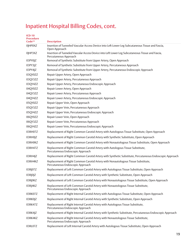| <b>ICD-10</b><br><b>Procedure</b><br>Code <sup>14</sup> | <b>Description</b>                                                                                                        |
|---------------------------------------------------------|---------------------------------------------------------------------------------------------------------------------------|
| 0JHP0XZ                                                 | Insertion of Tunneled Vascular Access Device into Left Lower Leg Subcutaneous Tissue and Fascia,<br>Open Approach         |
| 0JHP3XZ                                                 | Insertion of Tunneled Vascular Access Device into Left Lower Leg Subcutaneous Tissue and Fascia,<br>Percutaneous Approach |
| 03PY0JZ                                                 | Removal of Synthetic Substitute from Upper Artery, Open Approach                                                          |
| 03PY3 Z                                                 | Removal of Synthetic Substitute from Upper Artery, Percutaneous Approach                                                  |
| 03PY4JZ                                                 | Removal of Synthetic Substitute from Upper Artery, Percutaneous Endoscopic Approach                                       |
| 03QY0ZZ                                                 | Repair Upper Artery, Open Approach                                                                                        |
| 03QY3ZZ                                                 | Repair Upper Artery, Percutaneous Approach                                                                                |
| 03QY4ZZ                                                 | Repair Upper Artery, Percutaneous Endoscopic Approach                                                                     |
| 04QY0ZZ                                                 | Repair Lower Artery, Open Approach                                                                                        |
| 04QY3ZZ                                                 | Repair Lower Artery, Percutaneous Approach                                                                                |
| 04QY4ZZ                                                 | Repair Lower Artery, Percutaneous Endoscopic Approach                                                                     |
| 05QY0ZZ                                                 | Repair Upper Vein, Open Approach                                                                                          |
| 05QY3ZZ                                                 | Repair Upper Vein, Percutaneous Approach                                                                                  |
| 05QY4ZZ                                                 | Repair Upper Vein, Percutaneous Endoscopic Approach                                                                       |
| 06QY0ZZ                                                 | Repair Lower Vein, Open Approach                                                                                          |
| 06QY3ZZ                                                 | Repair Lower Vein, Percutaneous Approach                                                                                  |
| 06QY4ZZ                                                 | Repair Lower Vein, Percutaneous Endoscopic Approach                                                                       |
| 03RH07Z                                                 | Replacement of Right Common Carotid Artery with Autologous Tissue Substitute, Open Approach                               |
| 03RH0JZ                                                 | Replacement of Right Common Carotid Artery with Synthetic Substitute, Open Approach                                       |
| 03RH0KZ                                                 | Replacement of Right Common Carotid Artery with Nonautologous Tissue Substitute, Open Approach                            |
| 03RH47Z                                                 | Replacement of Right Common Carotid Artery with Autologous Tissue Substitute,<br>Percutaneous Endoscopic Approach         |
| 03RH4JZ                                                 | Replacement of Right Common Carotid Artery with Synthetic Substitute, Percutaneous Endoscopic Approach                    |
| 03RH4KZ                                                 | Replacement of Right Common Carotid Artery with Nonautologous Tissue Substitute,<br>Percutaneous Endoscopic Approach      |
| 03RJ07Z                                                 | Replacement of Left Common Carotid Artery with Autologous Tissue Substitute, Open Approach                                |
| 03RJ0JZ                                                 | Replacement of Left Common Carotid Artery with Synthetic Substitute, Open Approach                                        |
| 03RJ0KZ                                                 | Replacement of Left Common Carotid Artery with Nonautologous Tissue Substitute, Open Approach                             |
| 03RJ4KZ                                                 | Replacement of Left Common Carotid Artery with Nonautologous Tissue Substitute,<br>Percutaneous Endoscopic Approach       |
| 03RK07Z                                                 | Replacement of Right Internal Carotid Artery with Autologous Tissue Substitute, Open Approach                             |
| 03RK0JZ                                                 | Replacement of Right Internal Carotid Artery with Synthetic Substitute, Open Approach                                     |
| 03RK47Z                                                 | Replacement of Right Internal Carotid Artery with Autologous Tissue Substitute,<br>Percutaneous Endoscopic Approach       |
| 03RK4JZ                                                 | Replacement of Right Internal Carotid Artery with Synthetic Substitute, Percutaneous Endoscopic Approach                  |
| 03RK4KZ                                                 | Replacement of Right Internal Carotid Artery with Nonautologous Tissue Substitute,<br>Percutaneous Endoscopic Approach    |
| 03RL07Z                                                 | Replacement of Left Internal Carotid Artery with Autologous Tissue Substitute, Open Approach                              |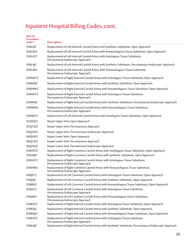| $ICD-10$<br><b>Procedure</b><br>Code <sup>14</sup> | <b>Description</b>                                                                                                     |
|----------------------------------------------------|------------------------------------------------------------------------------------------------------------------------|
| 03RL0JZ                                            | Replacement of Left Internal Carotid Artery with Synthetic Substitute, Open Approach                                   |
| 03RL0KZ                                            | Replacement of Left Internal Carotid Artery with Nonautologous Tissue Substitute, Open Approach                        |
| 03RL47Z                                            | Replacement of Left Internal Carotid Artery with Autologous Tissue Substitute,<br>Percutaneous Endoscopic Approach     |
| 03RL4JZ                                            | Replacement of Left Internal Carotid Artery with Synthetic Substitute, Percutaneous Endoscopic Approach                |
| 03RL4KZ                                            | Replacement of Left Internal Carotid Artery with Nonautologous Tissue Substitute,<br>Percutaneous Endoscopic Approach  |
| 03RM07Z                                            | Replacement of Right External Carotid Artery with Autologous Tissue Substitute, Open Approach                          |
| 03RM0JZ                                            | Replacement of Right External Carotid Artery with Synthetic Substitute, Open Approach                                  |
| 03RM0KZ                                            | Replacement of Right External Carotid Artery with Nonautologous Tissue Substitute, Open Approach                       |
| 03RM47Z                                            | Replacement of Right External Carotid Artery with Autologous Tissue Substitute,<br>Percutaneous Endoscopic Approach    |
| 03RM4JZ                                            | Replacement of Right External Carotid Artery with Synthetic Substitute, Percutaneous Endoscopic Approach               |
| 03RM4KZ                                            | Replacement of Right External Carotid Artery with Nonautologous Tissue Substitute,<br>Percutaneous Endoscopic Approach |
| 03RN07Z                                            | Replacement of Left External Carotid Artery with Autologous Tissue Substitute, Open Approach                           |
| 05QY0ZZ                                            | Repair Upper Vein, Open Approach                                                                                       |
| 05QY3ZZ                                            | Repair Upper Vein, Percutaneous Approach                                                                               |
| 05QY4ZZ                                            | Repair Upper Vein, Percutaneous Endoscopic Approach                                                                    |
| 06QY0ZZ                                            | Repair Lower Vein, Open Approach                                                                                       |
| 06QY3ZZ                                            | Repair Lower Vein, Percutaneous Approach                                                                               |
| 06QY4ZZ                                            | Repair Lower Vein, Percutaneous Endoscopic Approach                                                                    |
| 03RH07Z                                            | Replacement of Right Common Carotid Artery with Autologous Tissue Substitute, Open Approach                            |
| 03RH0JZ                                            | Replacement of Right Common Carotid Artery with Synthetic Substitute, Open Approach                                    |
| 03RH47Z                                            | Replacement of Right Common Carotid Artery with Autologous Tissue Substitute,<br>Percutaneous Endoscopic Approach      |
| 03RH4KZ                                            | Replacement of Right Common Carotid Artery with Nonautologous Tissue Substitute,<br>Percutaneous Endoscopic Approach   |
| 03RJ07Z                                            | Replacement of Left Common Carotid Artery with Autologous Tissue Substitute, Open Approach                             |
| 03RJ0JZ                                            | Replacement of Left Common Carotid Artery with Synthetic Substitute, Open Approach                                     |
| 03RJ0KZ                                            | Replacement of Left Common Carotid Artery with Nonautologous Tissue Substitute, Open Approach                          |
| 03RJ47Z                                            | Replacement of Left Common Carotid Artery with Autologous Tissue Substitute,<br>Percutaneous Endoscopic Approach       |
| 03RJ4KZ                                            | Replacement of Left Common Carotid Artery with Nonautologous Tissue Substitute,<br>Percutaneous Endoscopic Approach    |
| 03RK07Z                                            | Replacement of Right Internal Carotid Artery with Autologous Tissue Substitute, Open Approach                          |
| 03RK0JZ                                            | Replacement of Right Internal Carotid Artery with Synthetic Substitute, Open Approach                                  |
| 03RK0KZ                                            | Replacement of Right Internal Carotid Artery with Nonautologous Tissue Substitute, Open Approach                       |
| 03RK47Z                                            | Replacement of Right Internal Carotid Artery with Autologous Tissue Substitute,<br>Percutaneous Endoscopic Approach    |
| 03RK4JZ                                            | Replacement of Right Internal Carotid Artery with Synthetic Substitute, Percutaneous Endoscopic Approach               |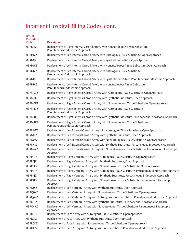| <b>ICD-10</b><br>Procedure<br>Code <sup>14</sup> | <b>Description</b>                                                                                                     |
|--------------------------------------------------|------------------------------------------------------------------------------------------------------------------------|
| 03RK4KZ                                          | Replacement of Right Internal Carotid Artery with Nonautologous Tissue Substitute,<br>Percutaneous Endoscopic Approach |
| 03RL07Z                                          | Replacement of Left Internal Carotid Artery with Autologous Tissue Substitute, Open Approach                           |
| 03RL0JZ                                          | Replacement of Left Internal Carotid Artery with Synthetic Substitute, Open Approach                                   |
| 03RL0KZ                                          | Replacement of Left Internal Carotid Artery with Nonautologous Tissue Substitute, Open Approach                        |
| 03RL47Z                                          | Replacement of Left Internal Carotid Artery with Autologous Tissue Substitute,<br>Percutaneous Endoscopic Approach     |
| 03RL4JZ                                          | Replacement of Left Internal Carotid Artery with Synthetic Substitute, Percutaneous Endoscopic Approach                |
| 03RL4KZ                                          | Replacement of Left Internal Carotid Artery with Nonautologous Tissue Substitute,<br>Percutaneous Endoscopic Approach  |
| 03RM07Z                                          | Replacement of Right External Carotid Artery with Autologous Tissue Substitute, Open Approach                          |
| 03RM0JZ                                          | Replacement of Right External Carotid Artery with Synthetic Substitute, Open Approach                                  |
| 03RM0KZ                                          | Replacement of Right External Carotid Artery with Nonautologous Tissue Substitute, Open Approach                       |
| 03RM47Z                                          | Replacement of Right External Carotid Artery with Autologous Tissue Substitute,<br>Percutaneous Endoscopic Approach    |
| 03RM4JZ                                          | Replacement of Right External Carotid Artery with Synthetic Substitute, Percutaneous Endoscopic Approach               |
| 03RM4KZ                                          | Replacement of Right External Carotid Artery with Nonautologous Tissue Substitute,<br>Percutaneous Endoscopic Approach |
| 03RN07Z                                          | Replacement of Left External Carotid Artery with Autologous Tissue Substitute, Open Approach                           |
| 03RN0JZ                                          | Replacement of Left External Carotid Artery with Synthetic Substitute, Open Approach                                   |
| 03RN0KZ                                          | Replacement of Left External Carotid Artery with Nonautologous Tissue Substitute, Open Approach                        |
| 03RN4JZ                                          | Replacement of Left External Carotid Artery with Synthetic Substitute, Percutaneous Endoscopic Approach                |
| 03RN4KZ                                          | Replacement of Left External Carotid Artery with Nonautologous Tissue Substitute, Percutaneous Endoscopic<br>Approach  |
| 03RP07Z                                          | Replacement of Right Vertebral Artery with Autologous Tissue Substitute, Open Approach                                 |
| 03RP0JZ                                          | Replacement of Right Vertebral Artery with Synthetic Substitute, Open Approach                                         |
| 03RP0KZ                                          | Replacement of Right Vertebral Artery with Nonautologous Tissue Substitute, Open Approach                              |
| 03RP47Z                                          | Replacement of Right Vertebral Artery with Autologous Tissue Substitute, Percutaneous Endoscopic Approach              |
| 03RP4JZ                                          | Replacement of Right Vertebral Artery with Synthetic Substitute, Percutaneous Endoscopic Approach                      |
| 03RP4KZ                                          | Replacement of Right Vertebral Artery with Nonautologous Tissue Substitute, Percutaneous Endoscopic<br>Approach        |
| 03RQ0JZ                                          | Replacement of Left Vertebral Artery with Synthetic Substitute, Open Approach                                          |
| 03RQ0KZ                                          | Replacement of Left Vertebral Artery with Nonautologous Tissue Substitute, Open Approach                               |
| 03RQ47Z                                          | Replacement of Left Vertebral Artery with Autologous Tissue Substitute, Percutaneous Endoscopic Approach               |
| 03RQ4JZ                                          | Replacement of Left Vertebral Artery with Synthetic Substitute, Percutaneous Endoscopic Approach                       |
| 03RQ4KZ                                          | Replacement of Left Vertebral Artery with Nonautologous Tissue Substitute, Percutaneous Endoscopic<br>Approach         |
| 03RR07Z                                          | Replacement of Face Artery with Autologous Tissue Substitute, Open Approach                                            |
| 03RR0JZ                                          | Replacement of Face Artery with Synthetic Substitute, Open Approach                                                    |
| 03RR0KZ                                          | Replacement of Face Artery with Nonautologous Tissue Substitute, Open Approach                                         |
| 03RR47Z                                          | Replacement of Face Artery with Autologous Tissue Substitute, Percutaneous Endoscopic Approach                         |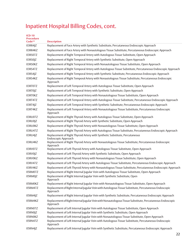| <b>ICD-10</b><br><b>Procedure</b><br>Code <sup>14</sup> | <b>Description</b>                                                                                                                                                        |
|---------------------------------------------------------|---------------------------------------------------------------------------------------------------------------------------------------------------------------------------|
| 03RR4JZ                                                 | Replacement of Face Artery with Synthetic Substitute, Percutaneous Endoscopic Approach                                                                                    |
| 03RR4KZ                                                 | Replacement of Face Artery with Nonautologous Tissue Substitute, Percutaneous Endoscopic Approach                                                                         |
| 03RS07Z                                                 | Replacement of Right Temporal Artery with Autologous Tissue Substitute, Open Approach                                                                                     |
| 03RS0JZ                                                 | Replacement of Right Temporal Artery with Synthetic Substitute, Open Approach                                                                                             |
| 03RS0KZ                                                 | Replacement of Right Temporal Artery with Nonautologous Tissue Substitute, Open Approach                                                                                  |
| 03RS47Z                                                 | Replacement of Right Temporal Artery with Autologous Tissue Substitute, Percutaneous Endoscopic Approach                                                                  |
| 03RS4 Z                                                 | Replacement of Right Temporal Artery with Synthetic Substitute, Percutaneous Endoscopic Approach                                                                          |
| 03RS4KZ                                                 | Replacement of Right Temporal Artery with Nonautologous Tissue Substitute, Percutaneous Endoscopic<br>Approach                                                            |
| 03RT07Z                                                 | Replacement of Left Temporal Artery with Autologous Tissue Substitute, Open Approach                                                                                      |
| 03RT0JZ                                                 | Replacement of Left Temporal Artery with Synthetic Substitute, Open Approach                                                                                              |
| 03RT0KZ                                                 | Replacement of Left Temporal Artery with Nonautologous Tissue Substitute, Open Approach                                                                                   |
| 03RT47Z                                                 | Replacement of Left Temporal Artery with Autologous Tissue Substitute, Percutaneous Endoscopic Approach                                                                   |
| 03RT4JZ                                                 | Replacement of Left Temporal Artery with Synthetic Substitute, Percutaneous Endoscopic Approach                                                                           |
| 03RT4KZ                                                 | Replacement of Left Temporal Artery with Nonautologous Tissue Substitute, Percutaneous Endoscopic<br>Approach                                                             |
| 03RU07Z                                                 | Replacement of Right Thyroid Artery with Autologous Tissue Substitute, Open Approach                                                                                      |
| 03RU0 Z                                                 | Replacement of Right Thyroid Artery with Synthetic Substitute, Open Approach                                                                                              |
| 03RU0KZ                                                 | Replacement of Right Thyroid Artery with Nonautologous Tissue Substitute, Open Approach                                                                                   |
| 03RU47Z                                                 | Replacement of Right Thyroid Artery with Autologous Tissue Substitute, Percutaneous Endoscopic Approach                                                                   |
| 03RU4JZ                                                 | Replacement of Right Thyroid Artery with Synthetic Substitute, Percutaneous<br>Endoscopic Approach                                                                        |
| 03RU4KZ                                                 | Replacement of Right Thyroid Artery with Nonautologous Tissue Substitute, Percutaneous Endoscopic<br>Approach                                                             |
| 03RV07Z                                                 | Replacement of Left Thyroid Artery with Autologous Tissue Substitute, Open Approach                                                                                       |
| 03RV0JZ                                                 | Replacement of Left Thyroid Artery with Synthetic Substitute, Open Approach                                                                                               |
| 03RV0KZ                                                 | Replacement of Left Thyroid Artery with Nonautologous Tissue Substitute, Open Approach                                                                                    |
| 03RV47Z                                                 | Replacement of Left Thyroid Artery with Autologous Tissue Substitute, Percutaneous Endoscopic Approach                                                                    |
| 03RV4KZ                                                 | Replacement of Left Thyroid Artery with Nonautologous Tissue Substitute, Percutaneous Endoscopic Approach                                                                 |
| 05RM07Z<br>05RM0JZ                                      | Replacement of Right Internal Jugular Vein with Autologous Tissue Substitute, Open Approach<br>Replacement of Right Internal Jugular Vein with Synthetic Substitute, Open |
|                                                         | Approach                                                                                                                                                                  |
| 05RM0KZ                                                 | Replacement of Right Internal Jugular Vein with Nonautologous Tissue Substitute, Open Approach                                                                            |
| 05RM47Z                                                 | Replacement of Right Internal Jugular Vein with Autologous Tissue Substitute, Percutaneous Endoscopic<br>Approach                                                         |
| 05RM4JZ                                                 | Replacement of Right Internal Jugular Vein with Synthetic Substitute, Percutaneous Endoscopic Approach                                                                    |
| 05RM4KZ                                                 | Replacement of Right Internal Jugular Vein with Nonautologous Tissue Substitute, Percutaneous Endoscopic<br>Approach                                                      |
| 05RN07Z                                                 | Replacement of Left Internal Jugular Vein with Autologous Tissue Substitute, Open Approach                                                                                |
| 05RN0JZ                                                 | Replacement of Left Internal Jugular Vein with Synthetic Substitute, Open Approach                                                                                        |
| 05RN0KZ                                                 | Replacement of Left Internal Jugular Vein with Nonautologous Tissue Substitute, Open Approach                                                                             |
| 05RN47Z                                                 | Replacement of Left Internal Jugular Vein with Autologous Tissue Substitute, Percutaneous Endoscopic<br>Approach                                                          |
| 05RN4JZ                                                 | Replacement of Left Internal Jugular Vein with Synthetic Substitute, Percutaneous Endoscopic Approach                                                                     |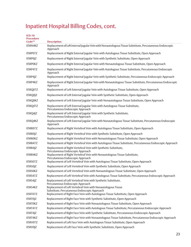| $ICD-10$<br><b>Procedure</b><br>Code <sup>14</sup> | <b>Description</b>                                                                                                   |
|----------------------------------------------------|----------------------------------------------------------------------------------------------------------------------|
| 05RN4KZ                                            | Replacement of Left Internal Jugular Vein with Nonautologous Tissue Substitute, Percutaneous Endoscopic<br>Approach  |
| 05RP07Z                                            | Replacement of Right External Jugular Vein with Autologous Tissue Substitute, Open Approach                          |
| 05RP0JZ                                            | Replacement of Right External Jugular Vein with Synthetic Substitute, Open Approach                                  |
| 05RP0KZ                                            | Replacement of Right External Jugular Vein with Nonautologous Tissue Substitute, Open Approach                       |
| 05RP47Z                                            | Replacement of Right External Jugular Vein with Autologous Tissue Substitute, Percutaneous Endoscopic<br>Approach    |
| 05RP4JZ                                            | Replacement of Right External Jugular Vein with Synthetic Substitute, Percutaneous Endoscopic Approach               |
| 05RP4KZ                                            | Replacement of Right External Jugular Vein with Nonautologous Tissue Substitute, Percutaneous Endoscopic<br>Approach |
| 05RQ07Z                                            | Replacement of Left External Jugular Vein with Autologous Tissue Substitute, Open Approach                           |
| 05RQ0JZ                                            | Replacement of Left External Jugular Vein with Synthetic Substitute, Open Approach                                   |
| 05RQ0KZ                                            | Replacement of Left External Jugular Vein with Nonautologous Tissue Substitute, Open Approach                        |
| 05RQ47Z                                            | Replacement of Left External Jugular Vein with Autologous Tissue Substitute,<br>Percutaneous Endoscopic Approach     |
| 05RQ4JZ                                            | Replacement of Left External Jugular Vein with Synthetic Substitute,<br>Percutaneous Endoscopic Approach             |
| 05RQ4KZ                                            | Replacement of Left External Jugular Vein with Nonautologous Tissue Substitute, Percutaneous Endoscopic<br>Approach  |
| 05RR07Z                                            | Replacement of Right Vertebral Vein with Autologous Tissue Substitute, Open Approach                                 |
| 05RR0 Z                                            | Replacement of Right Vertebral Vein with Synthetic Substitute, Open Approach                                         |
| 05RR0KZ                                            | Replacement of Right Vertebral Vein with Nonautologous Tissue Substitute, Open Approach                              |
| 05RR47Z                                            | Replacement of Right Vertebral Vein with Autologous Tissue Substitute, Percutaneous Endoscopic Approach              |
| 05RR4JZ                                            | Replacement of Right Vertebral Vein with Synthetic Substitute,<br>Percutaneous Endoscopic Approach                   |
| 05RR4KZ                                            | Replacement of Right Vertebral Vein with Nonautologous Tissue Substitute,<br>Percutaneous Endoscopic Approach        |
| 05RS07Z                                            | Replacement of Left Vertebral Vein with Autologous Tissue Substitute, Open Approach                                  |
| 05RS0JZ                                            | Replacement of Left Vertebral Vein with Synthetic Substitute, Open Approach                                          |
| 05RS0KZ                                            | Replacement of Left Vertebral Vein with Nonautologous Tissue Substitute, Open Approach                               |
| 05RS47Z                                            | Replacement of Left Vertebral Vein with Autologous Tissue Substitute, Percutaneous Endoscopic Approach               |
| 05RS4JZ                                            | Replacement of Left Vertebral Vein with Synthetic Substitute,<br>Percutaneous Endoscopic Approach                    |
| 05RS4KZ                                            | Replacement of Left Vertebral Vein with Nonautologous Tissue<br>Substitute, Percutaneous Endoscopic Approach         |
| 05RT07Z                                            | Replacement of Right Face Vein with Autologous Tissue Substitute, Open Approach                                      |
| 05RT0JZ                                            | Replacement of Right Face Vein with Synthetic Substitute, Open Approach                                              |
| 05RT0KZ                                            | Replacement of Right Face Vein with Nonautologous Tissue Substitute, Open Approach                                   |
| 05RT47Z                                            | Replacement of Right Face Vein with Autologous Tissue Substitute, Percutaneous Endoscopic Approach                   |
| 05RT4JZ                                            | Replacement of Right Face Vein with Synthetic Substitute, Percutaneous Endoscopic Approach                           |
| 05RT4KZ                                            | Replacement of Right Face Vein with Nonautologous Tissue Substitute, Percutaneous Endoscopic Approach                |
| 05RV07Z                                            | Replacement of Left Face Vein with Autologous Tissue Substitute, Open Approach                                       |
| 05RV0JZ                                            | Replacement of Left Face Vein with Synthetic Substitute, Open Approach                                               |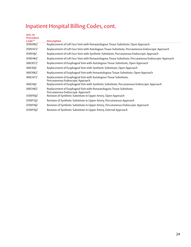| $ICD-10$<br><b>Procedure</b> |                                                                                                          |
|------------------------------|----------------------------------------------------------------------------------------------------------|
| Code <sup>14</sup>           | <b>Description</b>                                                                                       |
| 05RV0KZ                      | Replacement of Left Face Vein with Nonautologous Tissue Substitute, Open Approach                        |
| 05RV47Z                      | Replacement of Left Face Vein with Autologous Tissue Substitute, Percutaneous Endoscopic Approach        |
| 05RV4 Z                      | Replacement of Left Face Vein with Synthetic Substitute, Percutaneous Endoscopic Approach                |
| 05RV4KZ                      | Replacement of Left Face Vein with Nonautologous Tissue Substitute, Percutaneous Endoscopic Approach     |
| 06R307Z                      | Replacement of Esophageal Vein with Autologous Tissue Substitute, Open Approach                          |
| 06R30JZ                      | Replacement of Esophageal Vein with Synthetic Substitute, Open Approach                                  |
| 06R30KZ                      | Replacement of Esophageal Vein with Nonautologous Tissue Substitute, Open Approach                       |
| 06R347Z                      | Replacement of Esophageal Vein with Autologous Tissue Substitute,<br>Percutaneous Endoscopic Approach    |
| 06R34JZ                      | Replacement of Esophageal Vein with Synthetic Substitute, Percutaneous Endoscopic Approach               |
| 06R34KZ                      | Replacement of Esophageal Vein with Nonautologous Tissue Substitute,<br>Percutaneous Endoscopic Approach |
| 03WY0JZ                      | Revision of Synthetic Substitute in Upper Artery, Open Approach                                          |
| 03WY3JZ                      | Revision of Synthetic Substitute in Upper Artery, Percutaneous Approach                                  |
| 03WY4IZ                      | Revision of Synthetic Substitute in Upper Artery, Percutaneous Endoscopic Approach                       |
| 03WYXJZ                      | Revision of Synthetic Substitute in Upper Artery, External Approach                                      |